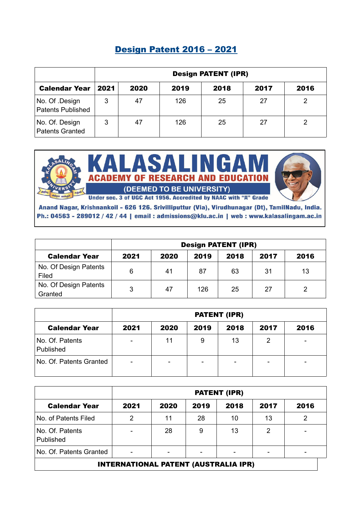|                                            | <b>Design PATENT (IPR)</b> |      |      |      |      |      |  |  |
|--------------------------------------------|----------------------------|------|------|------|------|------|--|--|
| <b>Calendar Year</b>                       | 2021                       | 2020 | 2019 | 2018 | 2017 | 2016 |  |  |
| No. Of .Design<br><b>Patents Published</b> | 3                          | 47   | 126  | 25   | 27   | 2    |  |  |
| No. Of. Design<br><b>Patents Granted</b>   | 3                          | 47   | 126  | 25   | 27   |      |  |  |

### Design Patent 2016 – 2021



Anand Nagar, Krishnankoil - 626 126. Srivilliputtur (Via), Virudhunagar (Dt), TamilNadu, India. Ph.: 04563 - 289012 / 42 / 44 | email : admissions@klu.ac.in | web : www.kalasalingam.ac.in

|                                  | <b>Design PATENT (IPR)</b> |      |      |      |      |      |  |
|----------------------------------|----------------------------|------|------|------|------|------|--|
| <b>Calendar Year</b>             | 2021                       | 2020 | 2019 | 2018 | 2017 | 2016 |  |
| No. Of Design Patents<br>Filed   | 6                          | 41   | 87   | 63   | 31   | 13   |  |
| No. Of Design Patents<br>Granted | 3                          | 47   | 126  | 25   | 27   |      |  |

|                              | <b>PATENT (IPR)</b>      |      |      |                          |      |      |
|------------------------------|--------------------------|------|------|--------------------------|------|------|
| <b>Calendar Year</b>         | 2021                     | 2020 | 2019 | 2018                     | 2017 | 2016 |
| No. Of. Patents<br>Published | $\overline{\phantom{0}}$ | 11   | 9    | 13                       | 2    | -    |
| No. Of. Patents Granted      | -                        | -    |      | $\overline{\phantom{0}}$ |      |      |

|                              | <b>PATENT (IPR)</b>      |                          |                          |      |      |                          |  |
|------------------------------|--------------------------|--------------------------|--------------------------|------|------|--------------------------|--|
| <b>Calendar Year</b>         | 2021                     | 2020                     | 2019                     | 2018 | 2017 | 2016                     |  |
| No. of Patents Filed         | $\mathcal{P}$            | 11                       | 28                       | 10   | 13   | ົ                        |  |
| No. Of. Patents<br>Published |                          | 28                       | 9                        | 13   | 2    |                          |  |
| No. Of. Patents Granted      | $\overline{\phantom{0}}$ | $\overline{\phantom{0}}$ | $\overline{\phantom{0}}$ |      |      | $\overline{\phantom{0}}$ |  |
|                              |                          |                          |                          |      |      |                          |  |

INTERNATIONAL PATENT (AUSTRALIA IPR)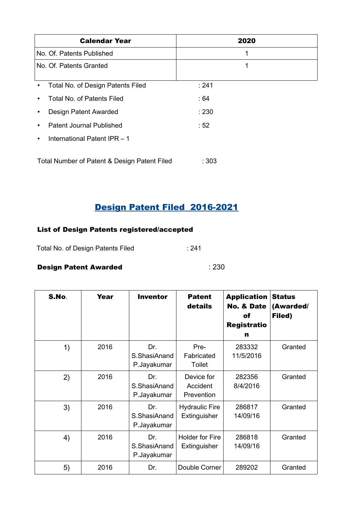| <b>Calendar Year</b>                           | 2020  |  |
|------------------------------------------------|-------|--|
| No. Of. Patents Published                      | 1     |  |
| No. Of. Patents Granted                        | 1     |  |
| Total No. of Design Patents Filed<br>$\bullet$ | : 241 |  |
| Total No. of Patents Filed                     | : 64  |  |
| Design Patent Awarded                          | : 230 |  |
| <b>Patent Journal Published</b>                | :52   |  |
| International Patent IPR - 1<br>٠              |       |  |
| Total Number of Patent & Design Patent Filed   | :303  |  |

# Design Patent Filed 2016-2021

#### List of Design Patents registered/accepted

Total No. of Design Patents Filed : 241

#### **Design Patent Awarded in the case of the Second Law Ave Second Law Ave Second Law Ave Second Law Ave Second Law Ave Second Law Ave Second Law Ave Second Law Ave Second Law Ave Second Law Ave Second Law Ave Second Law Ave**

| S.No. | Year | <b>Inventor</b>                    | <b>Patent</b><br>details               | <b>Application</b><br><b>No. &amp; Date</b><br>of<br><b>Registratio</b><br>n | <b>Status</b><br>(Awarded/<br>Filed) |
|-------|------|------------------------------------|----------------------------------------|------------------------------------------------------------------------------|--------------------------------------|
| 1)    | 2016 | Dr.<br>S.ShasiAnand<br>P.Jayakumar | Pre-<br>Fabricated<br>Toilet           | 283332<br>11/5/2016                                                          | Granted                              |
| 2)    | 2016 | Dr.<br>S.ShasiAnand<br>P.Jayakumar | Device for<br>Accident<br>Prevention   | 282356<br>8/4/2016                                                           | Granted                              |
| 3)    | 2016 | Dr.<br>S.ShasiAnand<br>P.Jayakumar | <b>Hydraulic Fire</b><br>Extinguisher  | 286817<br>14/09/16                                                           | Granted                              |
| 4)    | 2016 | Dr.<br>S.ShasiAnand<br>P.Jayakumar | <b>Holder for Fire</b><br>Extinguisher | 286818<br>14/09/16                                                           | Granted                              |
| 5)    | 2016 | Dr.                                | Double Corner                          | 289202                                                                       | Granted                              |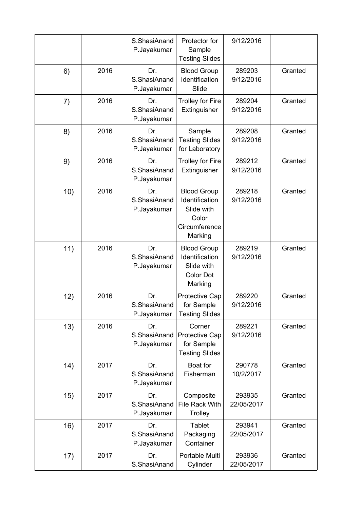|     |      | S.ShasiAnand<br>P.Jayakumar        | Protector for<br>Sample<br><b>Testing Slides</b>                                        | 9/12/2016            |         |
|-----|------|------------------------------------|-----------------------------------------------------------------------------------------|----------------------|---------|
| 6)  | 2016 | Dr.<br>S.ShasiAnand<br>P.Jayakumar | <b>Blood Group</b><br>Identification<br>Slide                                           | 289203<br>9/12/2016  | Granted |
| 7)  | 2016 | Dr.<br>S.ShasiAnand<br>P.Jayakumar | <b>Trolley for Fire</b><br>Extinguisher                                                 | 289204<br>9/12/2016  | Granted |
| 8)  | 2016 | Dr.<br>S.ShasiAnand<br>P.Jayakumar | Sample<br><b>Testing Slides</b><br>for Laboratory                                       | 289208<br>9/12/2016  | Granted |
| 9)  | 2016 | Dr.<br>S.ShasiAnand<br>P.Jayakumar | <b>Trolley for Fire</b><br>Extinguisher                                                 | 289212<br>9/12/2016  | Granted |
| 10) | 2016 | Dr.<br>S.ShasiAnand<br>P.Jayakumar | <b>Blood Group</b><br>Identification<br>Slide with<br>Color<br>Circumference<br>Marking | 289218<br>9/12/2016  | Granted |
| 11) | 2016 | Dr.<br>S.ShasiAnand<br>P.Jayakumar | <b>Blood Group</b><br>Identification<br>Slide with<br><b>Color Dot</b><br>Marking       | 289219<br>9/12/2016  | Granted |
| 12) | 2016 | Dr.<br>S.ShasiAnand<br>P.Jayakumar | <b>Protective Cap</b><br>for Sample<br><b>Testing Slides</b>                            | 289220<br>9/12/2016  | Granted |
| 13) | 2016 | Dr.<br>S.ShasiAnand<br>P.Jayakumar | Corner<br>Protective Cap<br>for Sample<br><b>Testing Slides</b>                         | 289221<br>9/12/2016  | Granted |
| 14) | 2017 | Dr.<br>S.ShasiAnand<br>P.Jayakumar | Boat for<br>Fisherman                                                                   | 290778<br>10/2/2017  | Granted |
| 15) | 2017 | Dr.<br>S.ShasiAnand<br>P.Jayakumar | Composite<br>File Rack With<br>Trolley                                                  | 293935<br>22/05/2017 | Granted |
| 16) | 2017 | Dr.<br>S.ShasiAnand<br>P.Jayakumar | <b>Tablet</b><br>Packaging<br>Container                                                 | 293941<br>22/05/2017 | Granted |
| 17) | 2017 | Dr.<br>S.ShasiAnand                | Portable Multi<br>Cylinder                                                              | 293936<br>22/05/2017 | Granted |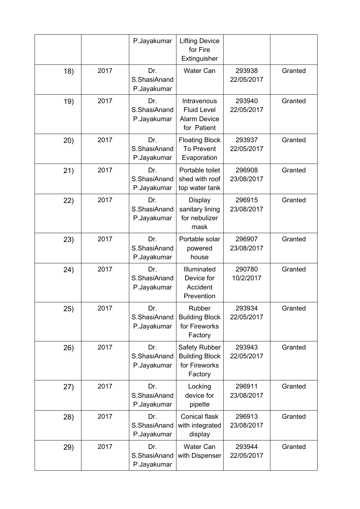|      |      | P.Jayakumar                        | <b>Lifting Device</b><br>for Fire<br>Extinguisher                       |                      |         |
|------|------|------------------------------------|-------------------------------------------------------------------------|----------------------|---------|
| 18)  | 2017 | Dr.<br>S.ShasiAnand<br>P.Jayakumar | <b>Water Can</b>                                                        | 293938<br>22/05/2017 | Granted |
| 19)  | 2017 | Dr.<br>S.ShasiAnand<br>P.Jayakumar | Intravenous<br><b>Fluid Level</b><br><b>Alarm Device</b><br>for Patient | 293940<br>22/05/2017 | Granted |
| (20) | 2017 | Dr.<br>S.ShasiAnand<br>P.Jayakumar | <b>Floating Block</b><br><b>To Prevent</b><br>Evaporation               | 293937<br>22/05/2017 | Granted |
| 21)  | 2017 | Dr.<br>S.ShasiAnand<br>P.Jayakumar | Portable toilet<br>shed with roof<br>top water tank                     | 296908<br>23/08/2017 | Granted |
| 22)  | 2017 | Dr.<br>S.ShasiAnand<br>P.Jayakumar | <b>Display</b><br>sanitary lining<br>for nebulizer<br>mask              | 296915<br>23/08/2017 | Granted |
| 23)  | 2017 | Dr.<br>S.ShasiAnand<br>P.Jayakumar | Portable solar<br>powered<br>house                                      | 296907<br>23/08/2017 | Granted |
| 24)  | 2017 | Dr.<br>S.ShasiAnand<br>P.Jayakumar | Illuminated<br>Device for<br>Accident<br>Prevention                     | 290780<br>10/2/2017  | Granted |
| 25)  | 2017 | Dr.<br>S.ShasiAnand<br>P.Jayakumar | Rubber<br><b>Building Block</b><br>for Fireworks<br>Factory             | 293934<br>22/05/2017 | Granted |
| 26)  | 2017 | Dr.<br>S.ShasiAnand<br>P.Jayakumar | Safety Rubber<br><b>Building Block</b><br>for Fireworks<br>Factory      | 293943<br>22/05/2017 | Granted |
| (27) | 2017 | Dr.<br>S.ShasiAnand<br>P.Jayakumar | Locking<br>device for<br>pipette                                        | 296911<br>23/08/2017 | Granted |
| 28)  | 2017 | Dr.<br>S.ShasiAnand<br>P.Jayakumar | <b>Conical flask</b><br>with integrated<br>display                      | 296913<br>23/08/2017 | Granted |
| 29)  | 2017 | Dr.<br>S.ShasiAnand<br>P.Jayakumar | <b>Water Can</b><br>with Dispenser                                      | 293944<br>22/05/2017 | Granted |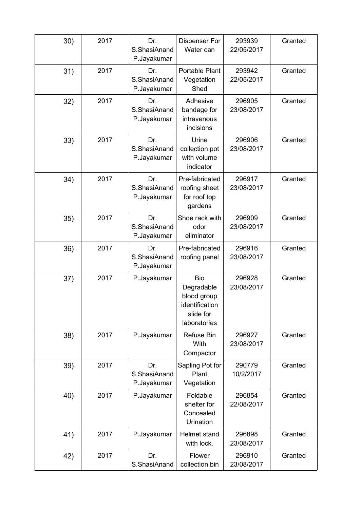| 30) | 2017 | Dr.<br>S.ShasiAnand<br>P.Jayakumar | <b>Dispenser For</b><br>Water can                                                      | 293939<br>22/05/2017 | Granted |
|-----|------|------------------------------------|----------------------------------------------------------------------------------------|----------------------|---------|
| 31) | 2017 | Dr.<br>S.ShasiAnand<br>P.Jayakumar | Portable Plant<br>Vegetation<br>Shed                                                   | 293942<br>22/05/2017 | Granted |
| 32) | 2017 | Dr.<br>S.ShasiAnand<br>P.Jayakumar | Adhesive<br>bandage for<br>intravenous<br>incisions                                    | 296905<br>23/08/2017 | Granted |
| 33) | 2017 | Dr.<br>S.ShasiAnand<br>P.Jayakumar | Urine<br>collection pot<br>with volume<br>indicator                                    | 296906<br>23/08/2017 | Granted |
| 34) | 2017 | Dr.<br>S.ShasiAnand<br>P.Jayakumar | Pre-fabricated<br>roofing sheet<br>for roof top<br>gardens                             | 296917<br>23/08/2017 | Granted |
| 35) | 2017 | Dr.<br>S.ShasiAnand<br>P.Jayakumar | Shoe rack with<br>odor<br>eliminator                                                   | 296909<br>23/08/2017 | Granted |
| 36) | 2017 | Dr.<br>S.ShasiAnand<br>P.Jayakumar | Pre-fabricated<br>roofing panel                                                        | 296916<br>23/08/2017 | Granted |
| 37) | 2017 | P.Jayakumar                        | <b>Bio</b><br>Degradable<br>blood group<br>identification<br>slide for<br>laboratories | 296928<br>23/08/2017 | Granted |
| 38) | 2017 | P.Jayakumar                        | <b>Refuse Bin</b><br>With<br>Compactor                                                 | 296927<br>23/08/2017 | Granted |
| 39) | 2017 | Dr.<br>S.ShasiAnand<br>P.Jayakumar | Sapling Pot for<br>Plant<br>Vegetation                                                 | 290779<br>10/2/2017  | Granted |
| 40) | 2017 | P.Jayakumar                        | Foldable<br>shelter for<br>Concealed<br>Urination                                      | 296854<br>22/08/2017 | Granted |
| 41) | 2017 | P.Jayakumar                        | Helmet stand<br>with lock.                                                             | 296898<br>23/08/2017 | Granted |
| 42) | 2017 | Dr.<br>S.ShasiAnand                | Flower<br>collection bin                                                               | 296910<br>23/08/2017 | Granted |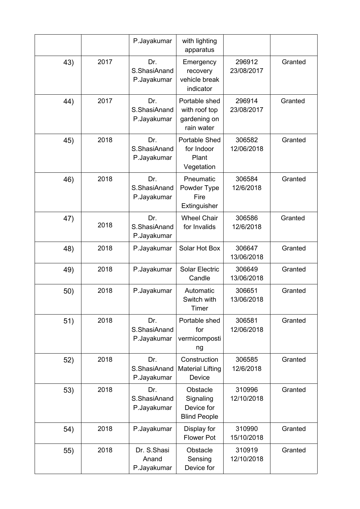|     |      | P.Jayakumar                         | with lighting<br>apparatus                                   |                      |         |
|-----|------|-------------------------------------|--------------------------------------------------------------|----------------------|---------|
| 43) | 2017 | Dr.<br>S.ShasiAnand<br>P.Jayakumar  | Emergency<br>recovery<br>vehicle break<br>indicator          | 296912<br>23/08/2017 | Granted |
| 44) | 2017 | Dr.<br>S.ShasiAnand<br>P.Jayakumar  | Portable shed<br>with roof top<br>gardening on<br>rain water | 296914<br>23/08/2017 | Granted |
| 45) | 2018 | Dr.<br>S.ShasiAnand<br>P.Jayakumar  | <b>Portable Shed</b><br>for Indoor<br>Plant<br>Vegetation    | 306582<br>12/06/2018 | Granted |
| 46) | 2018 | Dr.<br>S.ShasiAnand<br>P.Jayakumar  | Pneumatic<br>Powder Type<br>Fire<br>Extinguisher             | 306584<br>12/6/2018  | Granted |
| 47) | 2018 | Dr.<br>S.ShasiAnand<br>P.Jayakumar  | <b>Wheel Chair</b><br>for Invalids                           | 306586<br>12/6/2018  | Granted |
| 48) | 2018 | P.Jayakumar                         | Solar Hot Box                                                | 306647<br>13/06/2018 | Granted |
| 49) | 2018 | P.Jayakumar                         | <b>Solar Electric</b><br>Candle                              | 306649<br>13/06/2018 | Granted |
| 50) | 2018 | P.Jayakumar                         | Automatic<br>Switch with<br>Timer                            | 306651<br>13/06/2018 | Granted |
| 51) | 2018 | Dr.<br>S.ShasiAnand<br>P.Jayakumar  | Portable shed<br>for<br>vermicomposti<br>ng                  | 306581<br>12/06/2018 | Granted |
| 52) | 2018 | Dr.<br>S.ShasiAnand<br>P.Jayakumar  | Construction<br><b>Material Lifting</b><br>Device            | 306585<br>12/6/2018  | Granted |
| 53) | 2018 | Dr.<br>S.ShasiAnand<br>P.Jayakumar  | Obstacle<br>Signaling<br>Device for<br><b>Blind People</b>   | 310996<br>12/10/2018 | Granted |
| 54) | 2018 | P.Jayakumar                         | Display for<br><b>Flower Pot</b>                             | 310990<br>15/10/2018 | Granted |
| 55) | 2018 | Dr. S.Shasi<br>Anand<br>P.Jayakumar | Obstacle<br>Sensing<br>Device for                            | 310919<br>12/10/2018 | Granted |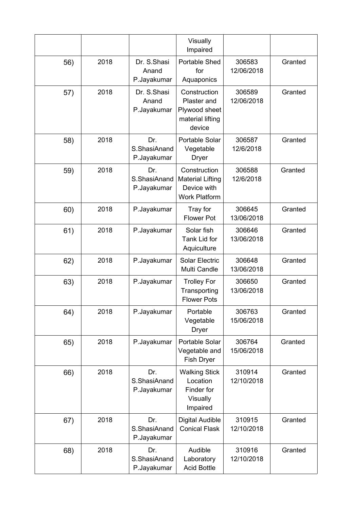|     |      |                                     | Visually<br>Impaired                                                           |                      |         |
|-----|------|-------------------------------------|--------------------------------------------------------------------------------|----------------------|---------|
| 56) | 2018 | Dr. S.Shasi<br>Anand<br>P.Jayakumar | <b>Portable Shed</b><br>for<br>Aquaponics                                      | 306583<br>12/06/2018 | Granted |
| 57) | 2018 | Dr. S.Shasi<br>Anand<br>P.Jayakumar | Construction<br>Plaster and<br>Plywood sheet<br>material lifting<br>device     | 306589<br>12/06/2018 | Granted |
| 58) | 2018 | Dr.<br>S.ShasiAnand<br>P.Jayakumar  | <b>Portable Solar</b><br>Vegetable<br><b>Dryer</b>                             | 306587<br>12/6/2018  | Granted |
| 59) | 2018 | Dr.<br>S.ShasiAnand<br>P.Jayakumar  | Construction<br><b>Material Lifting</b><br>Device with<br><b>Work Platform</b> | 306588<br>12/6/2018  | Granted |
| 60) | 2018 | P.Jayakumar                         | Tray for<br><b>Flower Pot</b>                                                  | 306645<br>13/06/2018 | Granted |
| 61) | 2018 | P.Jayakumar                         | Solar fish<br>Tank Lid for<br>Aquiculture                                      | 306646<br>13/06/2018 | Granted |
| 62) | 2018 | P.Jayakumar                         | <b>Solar Electric</b><br>Multi Candle                                          | 306648<br>13/06/2018 | Granted |
| 63) | 2018 | P.Jayakumar                         | <b>Trolley For</b><br>Transporting<br><b>Flower Pots</b>                       | 306650<br>13/06/2018 | Granted |
| 64) | 2018 | P.Jayakumar                         | Portable<br>Vegetable<br><b>Dryer</b>                                          | 306763<br>15/06/2018 | Granted |
| 65) | 2018 | P.Jayakumar                         | Portable Solar<br>Vegetable and<br>Fish Dryer                                  | 306764<br>15/06/2018 | Granted |
| 66) | 2018 | Dr.<br>S.ShasiAnand<br>P.Jayakumar  | <b>Walking Stick</b><br>Location<br>Finder for<br>Visually<br>Impaired         | 310914<br>12/10/2018 | Granted |
| 67) | 2018 | Dr.<br>S.ShasiAnand<br>P.Jayakumar  | <b>Digital Audible</b><br><b>Conical Flask</b>                                 | 310915<br>12/10/2018 | Granted |
| 68) | 2018 | Dr.<br>S.ShasiAnand<br>P.Jayakumar  | Audible<br>Laboratory<br><b>Acid Bottle</b>                                    | 310916<br>12/10/2018 | Granted |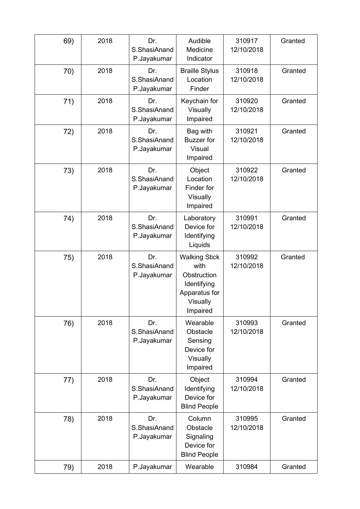| 69) | 2018 | Dr.<br>S.ShasiAnand<br>P.Jayakumar | Audible<br>Medicine<br>Indicator                                                                    | 310917<br>12/10/2018 | Granted |
|-----|------|------------------------------------|-----------------------------------------------------------------------------------------------------|----------------------|---------|
| 70) | 2018 | Dr.<br>S.ShasiAnand<br>P.Jayakumar | <b>Braille Stylus</b><br>Location<br>Finder                                                         | 310918<br>12/10/2018 | Granted |
| 71) | 2018 | Dr.<br>S.ShasiAnand<br>P.Jayakumar | Keychain for<br>Visually<br>Impaired                                                                | 310920<br>12/10/2018 | Granted |
| 72) | 2018 | Dr.<br>S.ShasiAnand<br>P.Jayakumar | Bag with<br><b>Buzzer</b> for<br>Visual<br>Impaired                                                 | 310921<br>12/10/2018 | Granted |
| 73) | 2018 | Dr.<br>S.ShasiAnand<br>P.Jayakumar | Object<br>Location<br>Finder for<br>Visually<br>Impaired                                            | 310922<br>12/10/2018 | Granted |
| 74) | 2018 | Dr.<br>S.ShasiAnand<br>P.Jayakumar | Laboratory<br>Device for<br>Identifying<br>Liquids                                                  | 310991<br>12/10/2018 | Granted |
| 75) | 2018 | Dr.<br>S.ShasiAnand<br>P.Jayakumar | <b>Walking Stick</b><br>with<br>Obstruction<br>Identifying<br>Apparatus for<br>Visually<br>Impaired | 310992<br>12/10/2018 | Granted |
| 76) | 2018 | Dr.<br>S.ShasiAnand<br>P.Jayakumar | Wearable<br>Obstacle<br>Sensing<br>Device for<br>Visually<br>Impaired                               | 310993<br>12/10/2018 | Granted |
| 77) | 2018 | Dr.<br>S.ShasiAnand<br>P.Jayakumar | Object<br>Identifying<br>Device for<br><b>Blind People</b>                                          | 310994<br>12/10/2018 | Granted |
| 78) | 2018 | Dr.<br>S.ShasiAnand<br>P.Jayakumar | Column<br>Obstacle<br>Signaling<br>Device for<br><b>Blind People</b>                                | 310995<br>12/10/2018 | Granted |
| 79) | 2018 | P.Jayakumar                        | Wearable                                                                                            | 310984               | Granted |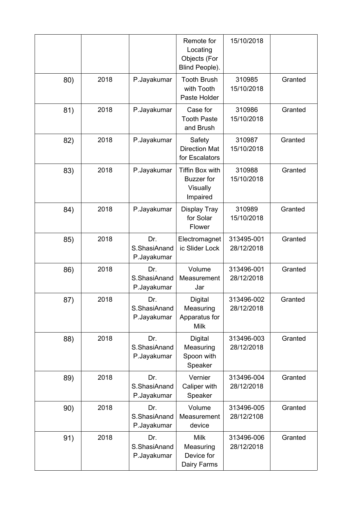|     |      |                                    | Remote for<br>Locating<br>Objects (For<br>Blind People).            | 15/10/2018               |         |
|-----|------|------------------------------------|---------------------------------------------------------------------|--------------------------|---------|
| 80) | 2018 | P.Jayakumar                        | <b>Tooth Brush</b><br>with Tooth<br>Paste Holder                    | 310985<br>15/10/2018     | Granted |
| 81) | 2018 | P.Jayakumar                        | Case for<br><b>Tooth Paste</b><br>and Brush                         | 310986<br>15/10/2018     | Granted |
| 82) | 2018 | P.Jayakumar                        | Safety<br><b>Direction Mat</b><br>for Escalators                    | 310987<br>15/10/2018     | Granted |
| 83) | 2018 | P.Jayakumar                        | <b>Tiffin Box with</b><br><b>Buzzer</b> for<br>Visually<br>Impaired | 310988<br>15/10/2018     | Granted |
| 84) | 2018 | P.Jayakumar                        | <b>Display Tray</b><br>for Solar<br>Flower                          | 310989<br>15/10/2018     | Granted |
| 85) | 2018 | Dr.<br>S.ShasiAnand<br>P.Jayakumar | Electromagnet<br>ic Slider Lock                                     | 313495-001<br>28/12/2018 | Granted |
| 86) | 2018 | Dr.<br>S.ShasiAnand<br>P.Jayakumar | Volume<br>Measurement<br>Jar                                        | 313496-001<br>28/12/2018 | Granted |
| 87) | 2018 | Dr.<br>S.ShasiAnand<br>P.Jayakumar | Digital<br>Measuring<br>Apparatus for<br><b>Milk</b>                | 313496-002<br>28/12/2018 | Granted |
| 88) | 2018 | Dr.<br>S.ShasiAnand<br>P.Jayakumar | Digital<br>Measuring<br>Spoon with<br>Speaker                       | 313496-003<br>28/12/2018 | Granted |
| 89) | 2018 | Dr.<br>S.ShasiAnand<br>P.Jayakumar | Vernier<br>Caliper with<br>Speaker                                  | 313496-004<br>28/12/2018 | Granted |
| 90) | 2018 | Dr.<br>S.ShasiAnand<br>P.Jayakumar | Volume<br>Measurement<br>device                                     | 313496-005<br>28/12/2108 | Granted |
| 91) | 2018 | Dr.<br>S.ShasiAnand<br>P.Jayakumar | <b>Milk</b><br>Measuring<br>Device for<br>Dairy Farms               | 313496-006<br>28/12/2018 | Granted |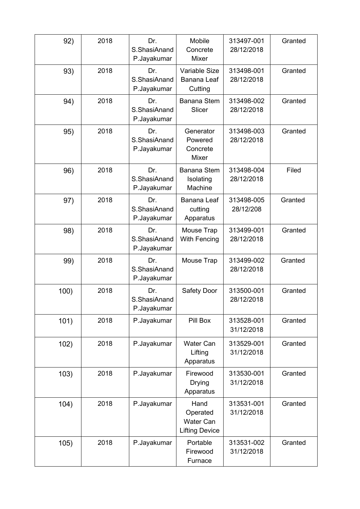| 92)  | 2018 | Dr.<br>S.ShasiAnand<br>P.Jayakumar | Mobile<br>Concrete<br>Mixer                                   | 313497-001<br>28/12/2018 | Granted |
|------|------|------------------------------------|---------------------------------------------------------------|--------------------------|---------|
| 93)  | 2018 | Dr.<br>S.ShasiAnand<br>P.Jayakumar | Variable Size<br>Banana Leaf<br>Cutting                       | 313498-001<br>28/12/2018 | Granted |
| 94)  | 2018 | Dr.<br>S.ShasiAnand<br>P.Jayakumar | Banana Stem<br>Slicer                                         | 313498-002<br>28/12/2018 | Granted |
| 95)  | 2018 | Dr.<br>S.ShasiAnand<br>P.Jayakumar | Generator<br>Powered<br>Concrete<br>Mixer                     | 313498-003<br>28/12/2018 | Granted |
| 96)  | 2018 | Dr.<br>S.ShasiAnand<br>P.Jayakumar | <b>Banana Stem</b><br>Isolating<br>Machine                    | 313498-004<br>28/12/2018 | Filed   |
| 97)  | 2018 | Dr.<br>S.ShasiAnand<br>P.Jayakumar | <b>Banana Leaf</b><br>cutting<br>Apparatus                    | 313498-005<br>28/12/208  | Granted |
| 98)  | 2018 | Dr.<br>S.ShasiAnand<br>P.Jayakumar | Mouse Trap<br>With Fencing                                    | 313499-001<br>28/12/2018 | Granted |
| 99)  | 2018 | Dr.<br>S.ShasiAnand<br>P.Jayakumar | Mouse Trap                                                    | 313499-002<br>28/12/2018 | Granted |
| 100) | 2018 | Dr.<br>S.ShasiAnand<br>P.Jayakumar | Safety Door                                                   | 313500-001<br>28/12/2018 | Granted |
| 101) | 2018 | P.Jayakumar                        | Pill Box                                                      | 313528-001<br>31/12/2018 | Granted |
| 102) | 2018 | P.Jayakumar                        | <b>Water Can</b><br>Lifting<br>Apparatus                      | 313529-001<br>31/12/2018 | Granted |
| 103) | 2018 | P.Jayakumar                        | Firewood<br><b>Drying</b><br>Apparatus                        | 313530-001<br>31/12/2018 | Granted |
| 104) | 2018 | P.Jayakumar                        | Hand<br>Operated<br><b>Water Can</b><br><b>Lifting Device</b> | 313531-001<br>31/12/2018 | Granted |
| 105) | 2018 | P.Jayakumar                        | Portable<br>Firewood<br>Furnace                               | 313531-002<br>31/12/2018 | Granted |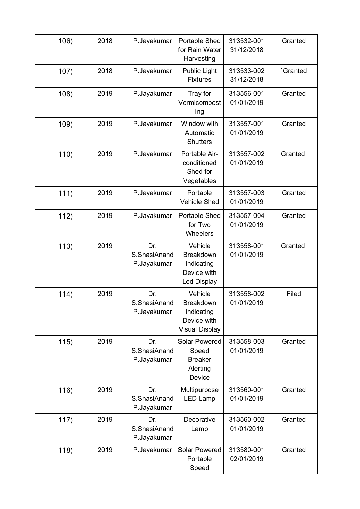| 106) | 2018 | P.Jayakumar                        | <b>Portable Shed</b><br>for Rain Water<br>Harvesting                              | 313532-001<br>31/12/2018 | Granted  |
|------|------|------------------------------------|-----------------------------------------------------------------------------------|--------------------------|----------|
| 107) | 2018 | P.Jayakumar                        | <b>Public Light</b><br><b>Fixtures</b>                                            | 313533-002<br>31/12/2018 | 'Granted |
| 108) | 2019 | P.Jayakumar                        | Tray for<br>Vermicompost<br>ing                                                   | 313556-001<br>01/01/2019 | Granted  |
| 109) | 2019 | P.Jayakumar                        | Window with<br>Automatic<br><b>Shutters</b>                                       | 313557-001<br>01/01/2019 | Granted  |
| 110) | 2019 | P.Jayakumar                        | Portable Air-<br>conditioned<br>Shed for<br>Vegetables                            | 313557-002<br>01/01/2019 | Granted  |
| 111) | 2019 | P.Jayakumar                        | Portable<br><b>Vehicle Shed</b>                                                   | 313557-003<br>01/01/2019 | Granted  |
| 112) | 2019 | P.Jayakumar                        | Portable Shed<br>for Two<br><b>Wheelers</b>                                       | 313557-004<br>01/01/2019 | Granted  |
| 113) | 2019 | Dr.<br>S.ShasiAnand<br>P.Jayakumar | Vehicle<br>Breakdown<br>Indicating<br>Device with<br><b>Led Display</b>           | 313558-001<br>01/01/2019 | Granted  |
| 114) | 2019 | Dr.<br>S.ShasiAnand<br>P.Jayakumar | Vehicle<br><b>Breakdown</b><br>Indicating<br>Device with<br><b>Visual Display</b> | 313558-002<br>01/01/2019 | Filed    |
| 115) | 2019 | Dr.<br>S.ShasiAnand<br>P.Jayakumar | <b>Solar Powered</b><br>Speed<br><b>Breaker</b><br>Alerting<br>Device             | 313558-003<br>01/01/2019 | Granted  |
| 116) | 2019 | Dr.<br>S.ShasiAnand<br>P.Jayakumar | Multipurpose<br><b>LED Lamp</b>                                                   | 313560-001<br>01/01/2019 | Granted  |
| 117) | 2019 | Dr.<br>S.ShasiAnand<br>P.Jayakumar | Decorative<br>Lamp                                                                | 313560-002<br>01/01/2019 | Granted  |
| 118) | 2019 | P.Jayakumar                        | <b>Solar Powered</b><br>Portable<br>Speed                                         | 313580-001<br>02/01/2019 | Granted  |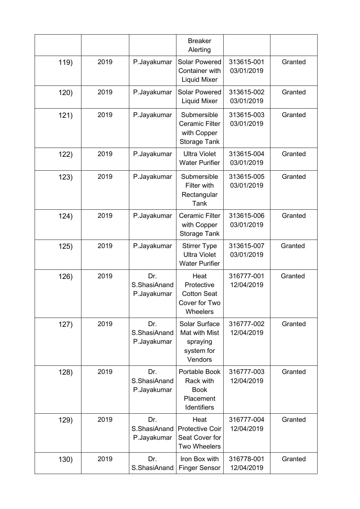|      |      |                                    | <b>Breaker</b><br>Alerting                                                 |                          |         |
|------|------|------------------------------------|----------------------------------------------------------------------------|--------------------------|---------|
| 119) | 2019 | P.Jayakumar                        | <b>Solar Powered</b><br>Container with<br><b>Liquid Mixer</b>              | 313615-001<br>03/01/2019 | Granted |
| 120) | 2019 | P.Jayakumar                        | <b>Solar Powered</b><br>Liquid Mixer                                       | 313615-002<br>03/01/2019 | Granted |
| 121) | 2019 | P.Jayakumar                        | Submersible<br><b>Ceramic Filter</b><br>with Copper<br><b>Storage Tank</b> | 313615-003<br>03/01/2019 | Granted |
| 122) | 2019 | P.Jayakumar                        | <b>Ultra Violet</b><br><b>Water Purifier</b>                               | 313615-004<br>03/01/2019 | Granted |
| 123) | 2019 | P.Jayakumar                        | Submersible<br>Filter with<br>Rectangular<br>Tank                          | 313615-005<br>03/01/2019 | Granted |
| 124) | 2019 | P.Jayakumar                        | <b>Ceramic Filter</b><br>with Copper<br><b>Storage Tank</b>                | 313615-006<br>03/01/2019 | Granted |
| 125) | 2019 | P.Jayakumar                        | <b>Stirrer Type</b><br><b>Ultra Violet</b><br><b>Water Purifier</b>        | 313615-007<br>03/01/2019 | Granted |
| 126) | 2019 | Dr.<br>S.ShasiAnand<br>P.Jayakumar | Heat<br>Protective<br><b>Cotton Seat</b><br>Cover for Two<br>Wheelers      | 316777-001<br>12/04/2019 | Granted |
| 127) | 2019 | Dr.<br>S.ShasiAnand<br>P.Jayakumar | Solar Surface<br>Mat with Mist<br>spraying<br>system for<br>Vendors        | 316777-002<br>12/04/2019 | Granted |
| 128) | 2019 | Dr.<br>S.ShasiAnand<br>P.Jayakumar | Portable Book<br>Rack with<br><b>Book</b><br>Placement<br>Identifiers      | 316777-003<br>12/04/2019 | Granted |
| 129) | 2019 | Dr.<br>S.ShasiAnand<br>P.Jayakumar | Heat<br><b>Protective Coir</b><br>Seat Cover for<br><b>Two Wheelers</b>    | 316777-004<br>12/04/2019 | Granted |
| 130) | 2019 | Dr.<br>S.ShasiAnand                | Iron Box with<br><b>Finger Sensor</b>                                      | 316778-001<br>12/04/2019 | Granted |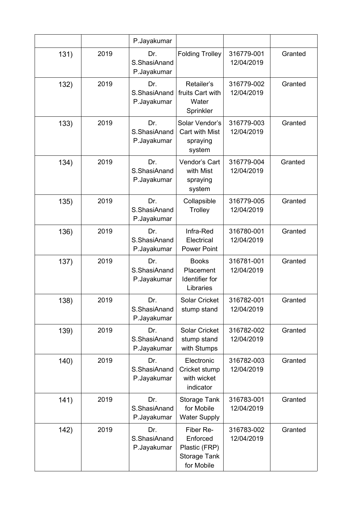|      |      | P.Jayakumar                        |                                                                      |                          |         |
|------|------|------------------------------------|----------------------------------------------------------------------|--------------------------|---------|
| 131) | 2019 | Dr.<br>S.ShasiAnand<br>P.Jayakumar | <b>Folding Trolley</b>                                               | 316779-001<br>12/04/2019 | Granted |
| 132) | 2019 | Dr.<br>S.ShasiAnand<br>P.Jayakumar | Retailer's<br>fruits Cart with<br>Water<br>Sprinkler                 | 316779-002<br>12/04/2019 | Granted |
| 133) | 2019 | Dr.<br>S.ShasiAnand<br>P.Jayakumar | Solar Vendor's<br>Cart with Mist<br>spraying<br>system               | 316779-003<br>12/04/2019 | Granted |
| 134) | 2019 | Dr.<br>S.ShasiAnand<br>P.Jayakumar | Vendor's Cart<br>with Mist<br>spraying<br>system                     | 316779-004<br>12/04/2019 | Granted |
| 135) | 2019 | Dr.<br>S.ShasiAnand<br>P.Jayakumar | Collapsible<br>Trolley                                               | 316779-005<br>12/04/2019 | Granted |
| 136) | 2019 | Dr.<br>S.ShasiAnand<br>P.Jayakumar | Infra-Red<br>Electrical<br><b>Power Point</b>                        | 316780-001<br>12/04/2019 | Granted |
| 137) | 2019 | Dr.<br>S.ShasiAnand<br>P.Jayakumar | <b>Books</b><br>Placement<br>Identifier for<br>Libraries             | 316781-001<br>12/04/2019 | Granted |
| 138) | 2019 | Dr.<br>S.ShasiAnand<br>P.Jayakumar | <b>Solar Cricket</b><br>stump stand                                  | 316782-001<br>12/04/2019 | Granted |
| 139) | 2019 | Dr.<br>S.ShasiAnand<br>P.Jayakumar | Solar Cricket<br>stump stand<br>with Stumps                          | 316782-002<br>12/04/2019 | Granted |
| 140) | 2019 | Dr.<br>S.ShasiAnand<br>P.Jayakumar | Electronic<br>Cricket stump<br>with wicket<br>indicator              | 316782-003<br>12/04/2019 | Granted |
| 141) | 2019 | Dr.<br>S.ShasiAnand<br>P.Jayakumar | Storage Tank<br>for Mobile<br><b>Water Supply</b>                    | 316783-001<br>12/04/2019 | Granted |
| 142) | 2019 | Dr.<br>S.ShasiAnand<br>P.Jayakumar | Fiber Re-<br>Enforced<br>Plastic (FRP)<br>Storage Tank<br>for Mobile | 316783-002<br>12/04/2019 | Granted |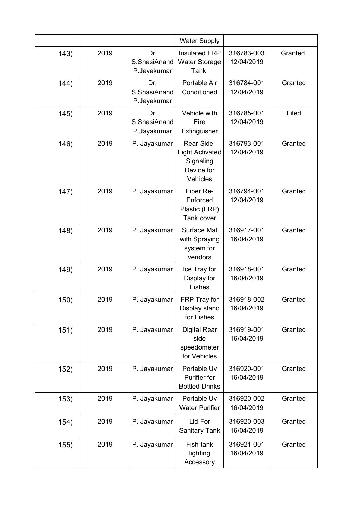|      |      |                                    | <b>Water Supply</b>                                                         |                          |         |
|------|------|------------------------------------|-----------------------------------------------------------------------------|--------------------------|---------|
| 143) | 2019 | Dr.<br>S.ShasiAnand<br>P.Jayakumar | <b>Insulated FRP</b><br><b>Water Storage</b><br>Tank                        | 316783-003<br>12/04/2019 | Granted |
| 144) | 2019 | Dr.<br>S.ShasiAnand<br>P.Jayakumar | Portable Air<br>Conditioned                                                 | 316784-001<br>12/04/2019 | Granted |
| 145) | 2019 | Dr.<br>S.ShasiAnand<br>P.Jayakumar | Vehicle with<br>Fire<br>Extinguisher                                        | 316785-001<br>12/04/2019 | Filed   |
| 146) | 2019 | P. Jayakumar                       | Rear Side-<br><b>Light Activated</b><br>Signaling<br>Device for<br>Vehicles | 316793-001<br>12/04/2019 | Granted |
| 147) | 2019 | P. Jayakumar                       | Fiber Re-<br>Enforced<br>Plastic (FRP)<br>Tank cover                        | 316794-001<br>12/04/2019 | Granted |
| 148) | 2019 | P. Jayakumar                       | Surface Mat<br>with Spraying<br>system for<br>vendors                       | 316917-001<br>16/04/2019 | Granted |
| 149) | 2019 | P. Jayakumar                       | Ice Tray for<br>Display for<br><b>Fishes</b>                                | 316918-001<br>16/04/2019 | Granted |
| 150) | 2019 | P. Jayakumar                       | FRP Tray for<br>Display stand<br>for Fishes                                 | 316918-002<br>16/04/2019 | Granted |
| 151) | 2019 | P. Jayakumar                       | <b>Digital Rear</b><br>side<br>speedometer<br>for Vehicles                  | 316919-001<br>16/04/2019 | Granted |
| 152) | 2019 | P. Jayakumar                       | Portable Uv<br>Purifier for<br><b>Bottled Drinks</b>                        | 316920-001<br>16/04/2019 | Granted |
| 153) | 2019 | P. Jayakumar                       | Portable Uv<br><b>Water Purifier</b>                                        | 316920-002<br>16/04/2019 | Granted |
| 154) | 2019 | P. Jayakumar                       | Lid For<br><b>Sanitary Tank</b>                                             | 316920-003<br>16/04/2019 | Granted |
| 155) | 2019 | P. Jayakumar                       | Fish tank<br>lighting<br>Accessory                                          | 316921-001<br>16/04/2019 | Granted |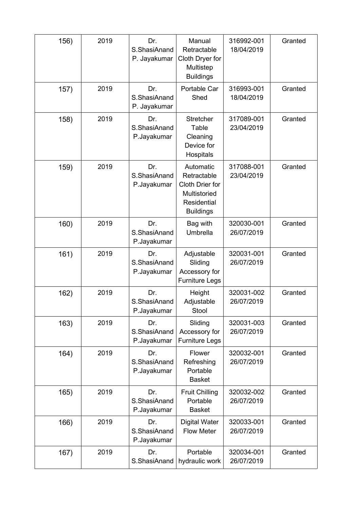| 156) | 2019 | Dr.<br>S.ShasiAnand<br>P. Jayakumar | Manual<br>Retractable<br>Cloth Dryer for<br>Multistep<br><b>Buildings</b>                      | 316992-001<br>18/04/2019 | Granted |
|------|------|-------------------------------------|------------------------------------------------------------------------------------------------|--------------------------|---------|
| 157) | 2019 | Dr.<br>S.ShasiAnand<br>P. Jayakumar | Portable Car<br>Shed                                                                           | 316993-001<br>18/04/2019 | Granted |
| 158) | 2019 | Dr.<br>S.ShasiAnand<br>P.Jayakumar  | Stretcher<br>Table<br>Cleaning<br>Device for<br>Hospitals                                      | 317089-001<br>23/04/2019 | Granted |
| 159) | 2019 | Dr.<br>S.ShasiAnand<br>P.Jayakumar  | Automatic<br>Retractable<br>Cloth Drier for<br>Multistoried<br>Residential<br><b>Buildings</b> | 317088-001<br>23/04/2019 | Granted |
| 160) | 2019 | Dr.<br>S.ShasiAnand<br>P.Jayakumar  | Bag with<br>Umbrella                                                                           | 320030-001<br>26/07/2019 | Granted |
| 161) | 2019 | Dr.<br>S.ShasiAnand<br>P.Jayakumar  | Adjustable<br>Sliding<br>Accessory for<br><b>Furniture Legs</b>                                | 320031-001<br>26/07/2019 | Granted |
| 162) | 2019 | Dr.<br>S.ShasiAnand<br>P.Jayakumar  | Height<br>Adjustable<br>Stool                                                                  | 320031-002<br>26/07/2019 | Granted |
| 163) | 2019 | Dr.<br>S.ShasiAnand<br>P.Jayakumar  | Sliding<br>Accessory for<br><b>Furniture Legs</b>                                              | 320031-003<br>26/07/2019 | Granted |
| 164) | 2019 | Dr.<br>S.ShasiAnand<br>P.Jayakumar  | Flower<br>Refreshing<br>Portable<br><b>Basket</b>                                              | 320032-001<br>26/07/2019 | Granted |
| 165) | 2019 | Dr.<br>S.ShasiAnand<br>P.Jayakumar  | <b>Fruit Chilling</b><br>Portable<br><b>Basket</b>                                             | 320032-002<br>26/07/2019 | Granted |
| 166) | 2019 | Dr.<br>S.ShasiAnand<br>P.Jayakumar  | <b>Digital Water</b><br><b>Flow Meter</b>                                                      | 320033-001<br>26/07/2019 | Granted |
| 167) | 2019 | Dr.<br>S.ShasiAnand                 | Portable<br>hydraulic work                                                                     | 320034-001<br>26/07/2019 | Granted |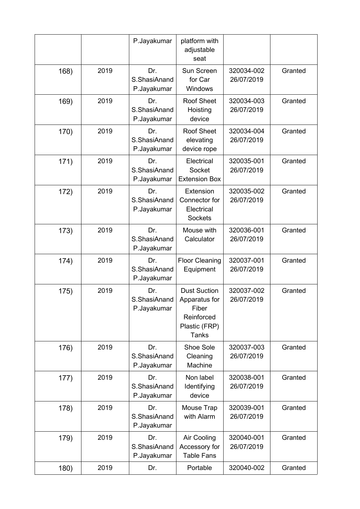|      |      | P.Jayakumar                        | platform with<br>adjustable<br>seat                                                          |                          |         |
|------|------|------------------------------------|----------------------------------------------------------------------------------------------|--------------------------|---------|
| 168) | 2019 | Dr.<br>S.ShasiAnand<br>P.Jayakumar | Sun Screen<br>for Car<br>Windows                                                             | 320034-002<br>26/07/2019 | Granted |
| 169) | 2019 | Dr.<br>S.ShasiAnand<br>P.Jayakumar | <b>Roof Sheet</b><br>Hoisting<br>device                                                      | 320034-003<br>26/07/2019 | Granted |
| 170) | 2019 | Dr.<br>S.ShasiAnand<br>P.Jayakumar | <b>Roof Sheet</b><br>elevating<br>device rope                                                | 320034-004<br>26/07/2019 | Granted |
| 171) | 2019 | Dr.<br>S.ShasiAnand<br>P.Jayakumar | Electrical<br>Socket<br><b>Extension Box</b>                                                 | 320035-001<br>26/07/2019 | Granted |
| 172) | 2019 | Dr.<br>S.ShasiAnand<br>P.Jayakumar | Extension<br>Connector for<br>Electrical<br><b>Sockets</b>                                   | 320035-002<br>26/07/2019 | Granted |
| 173) | 2019 | Dr.<br>S.ShasiAnand<br>P.Jayakumar | Mouse with<br>Calculator                                                                     | 320036-001<br>26/07/2019 | Granted |
| 174) | 2019 | Dr.<br>S.ShasiAnand<br>P.Jayakumar | <b>Floor Cleaning</b><br>Equipment                                                           | 320037-001<br>26/07/2019 | Granted |
| 175) | 2019 | Dr.<br>S.ShasiAnand<br>P.Jayakumar | <b>Dust Suction</b><br>Apparatus for<br>Fiber<br>Reinforced<br>Plastic (FRP)<br><b>Tanks</b> | 320037-002<br>26/07/2019 | Granted |
| 176) | 2019 | Dr.<br>S.ShasiAnand                | Shoe Sole<br>Cleaning                                                                        | 320037-003<br>26/07/2019 | Granted |
| 177) |      | P.Jayakumar                        | Machine                                                                                      |                          |         |
|      | 2019 | Dr.<br>S.ShasiAnand<br>P.Jayakumar | Non label<br>Identifying<br>device                                                           | 320038-001<br>26/07/2019 | Granted |
| 178) | 2019 | Dr.<br>S.ShasiAnand<br>P.Jayakumar | Mouse Trap<br>with Alarm                                                                     | 320039-001<br>26/07/2019 | Granted |
| 179) | 2019 | Dr.<br>S.ShasiAnand<br>P.Jayakumar | Air Cooling<br>Accessory for<br><b>Table Fans</b>                                            | 320040-001<br>26/07/2019 | Granted |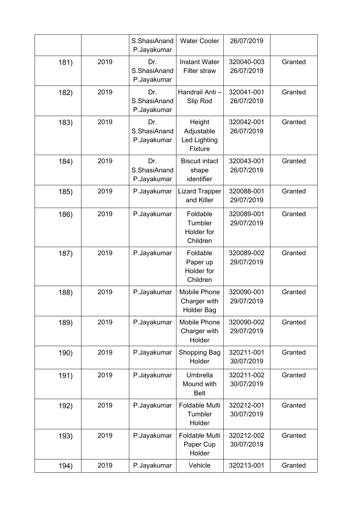|      |      | S.ShasiAnand<br>P.Jayakumar        | <b>Water Cooler</b>                                      | 26/07/2019               |         |
|------|------|------------------------------------|----------------------------------------------------------|--------------------------|---------|
| 181) | 2019 | Dr.<br>S.ShasiAnand<br>P.Jayakumar | <b>Instant Water</b><br>Filter straw                     | 320040-003<br>26/07/2019 | Granted |
| 182) | 2019 | Dr.<br>S.ShasiAnand<br>P.Jayakumar | Handrail Anti-<br>Slip Rod                               | 320041-001<br>26/07/2019 | Granted |
| 183) | 2019 | Dr.<br>S.ShasiAnand<br>P.Jayakumar | Height<br>Adjustable<br>Led Lighting<br>Fixture          | 320042-001<br>26/07/2019 | Granted |
| 184) | 2019 | Dr.<br>S.ShasiAnand<br>P.Jayakumar | <b>Biscuit intact</b><br>shape<br>identifier             | 320043-001<br>26/07/2019 | Granted |
| 185) | 2019 | P.Jayakumar                        | <b>Lizard Trapper</b><br>and Killer                      | 320088-001<br>29/07/2019 | Granted |
| 186) | 2019 | P.Jayakumar                        | Foldable<br>Tumbler<br>Holder for<br>Children            | 320089-001<br>29/07/2019 | Granted |
| 187) | 2019 | P.Jayakumar                        | Foldable<br>Paper up<br>Holder for<br>Children           | 320089-002<br>29/07/2019 | Granted |
| 188) | 2019 | P.Jayakumar                        | <b>Mobile Phone</b><br>Charger with<br><b>Holder Bag</b> | 320090-001<br>29/07/2019 | Granted |
| 189) | 2019 | P.Jayakumar                        | <b>Mobile Phone</b><br>Charger with<br>Holder            | 320090-002<br>29/07/2019 | Granted |
| 190) | 2019 | P.Jayakumar                        | Shopping Bag<br>Holder                                   | 320211-001<br>30/07/2019 | Granted |
| 191) | 2019 | P.Jayakumar                        | Umbrella<br>Mound with<br><b>Belt</b>                    | 320211-002<br>30/07/2019 | Granted |
| 192) | 2019 | P.Jayakumar                        | Foldable Multi<br>Tumbler<br>Holder                      | 320212-001<br>30/07/2019 | Granted |
| 193) | 2019 | P.Jayakumar                        | Foldable Multi<br>Paper Cup<br>Holder                    | 320212-002<br>30/07/2019 | Granted |
| 194) | 2019 | P.Jayakumar                        | Vehicle                                                  | 320213-001               | Granted |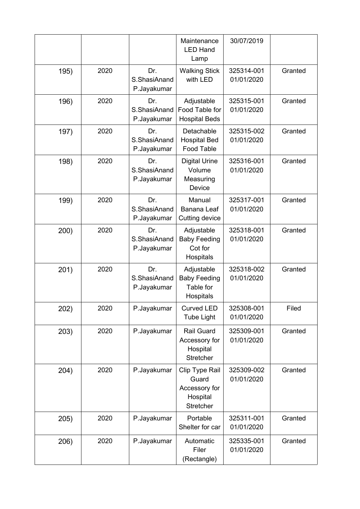|      |      |                                    | Maintenance<br><b>LED Hand</b><br>Lamp                            | 30/07/2019               |         |
|------|------|------------------------------------|-------------------------------------------------------------------|--------------------------|---------|
| 195) | 2020 | Dr.<br>S.ShasiAnand<br>P.Jayakumar | <b>Walking Stick</b><br>with LED                                  | 325314-001<br>01/01/2020 | Granted |
| 196) | 2020 | Dr.<br>S.ShasiAnand<br>P.Jayakumar | Adjustable<br>Food Table for<br><b>Hospital Beds</b>              | 325315-001<br>01/01/2020 | Granted |
| 197) | 2020 | Dr.<br>S.ShasiAnand<br>P.Jayakumar | Detachable<br><b>Hospital Bed</b><br>Food Table                   | 325315-002<br>01/01/2020 | Granted |
| 198) | 2020 | Dr.<br>S.ShasiAnand<br>P.Jayakumar | <b>Digital Urine</b><br>Volume<br>Measuring<br>Device             | 325316-001<br>01/01/2020 | Granted |
| 199) | 2020 | Dr.<br>S.ShasiAnand<br>P.Jayakumar | Manual<br>Banana Leaf<br>Cutting device                           | 325317-001<br>01/01/2020 | Granted |
| 200) | 2020 | Dr.<br>S.ShasiAnand<br>P.Jayakumar | Adjustable<br><b>Baby Feeding</b><br>Cot for<br>Hospitals         | 325318-001<br>01/01/2020 | Granted |
| 201) | 2020 | Dr.<br>S.ShasiAnand<br>P.Jayakumar | Adjustable<br><b>Baby Feeding</b><br>Table for<br>Hospitals       | 325318-002<br>01/01/2020 | Granted |
| 202) | 2020 | P.Jayakumar                        | <b>Curved LED</b><br><b>Tube Light</b>                            | 325308-001<br>01/01/2020 | Filed   |
| 203) | 2020 | P.Jayakumar                        | <b>Rail Guard</b><br>Accessory for<br>Hospital<br>Stretcher       | 325309-001<br>01/01/2020 | Granted |
| 204) | 2020 | P.Jayakumar                        | Clip Type Rail<br>Guard<br>Accessory for<br>Hospital<br>Stretcher | 325309-002<br>01/01/2020 | Granted |
| 205) | 2020 | P.Jayakumar                        | Portable<br>Shelter for car                                       | 325311-001<br>01/01/2020 | Granted |
| 206) | 2020 | P.Jayakumar                        | Automatic<br>Filer<br>(Rectangle)                                 | 325335-001<br>01/01/2020 | Granted |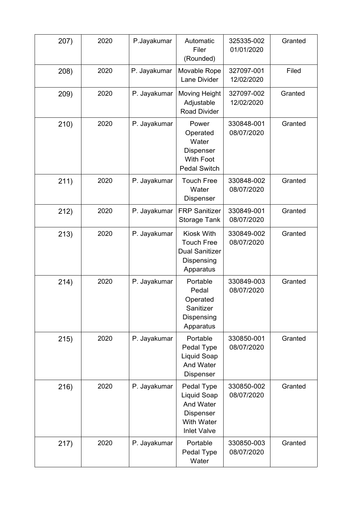| 207) | 2020 | P.Jayakumar  | Automatic<br>Filer<br>(Rounded)                                                                | 325335-002<br>01/01/2020 | Granted |
|------|------|--------------|------------------------------------------------------------------------------------------------|--------------------------|---------|
| 208) | 2020 | P. Jayakumar | Movable Rope<br>Lane Divider                                                                   | 327097-001<br>12/02/2020 | Filed   |
| 209) | 2020 | P. Jayakumar | Moving Height<br>Adjustable<br><b>Road Divider</b>                                             | 327097-002<br>12/02/2020 | Granted |
| 210) | 2020 | P. Jayakumar | Power<br>Operated<br>Water<br>Dispenser<br><b>With Foot</b><br><b>Pedal Switch</b>             | 330848-001<br>08/07/2020 | Granted |
| 211) | 2020 | P. Jayakumar | <b>Touch Free</b><br>Water<br><b>Dispenser</b>                                                 | 330848-002<br>08/07/2020 | Granted |
| 212) | 2020 | P. Jayakumar | <b>FRP Sanitizer</b><br><b>Storage Tank</b>                                                    | 330849-001<br>08/07/2020 | Granted |
| 213) | 2020 | P. Jayakumar | Kiosk With<br><b>Touch Free</b><br><b>Dual Sanitizer</b><br>Dispensing<br>Apparatus            | 330849-002<br>08/07/2020 | Granted |
| 214) | 2020 | P. Jayakumar | Portable<br>Pedal<br>Operated<br>Sanitizer<br>Dispensing<br>Apparatus                          | 330849-003<br>08/07/2020 | Granted |
| 215) | 2020 | P. Jayakumar | Portable<br>Pedal Type<br>Liquid Soap<br>And Water<br>Dispenser                                | 330850-001<br>08/07/2020 | Granted |
| 216) | 2020 | P. Jayakumar | Pedal Type<br>Liquid Soap<br>And Water<br>Dispenser<br><b>With Water</b><br><b>Inlet Valve</b> | 330850-002<br>08/07/2020 | Granted |
| 217) | 2020 | P. Jayakumar | Portable<br>Pedal Type<br>Water                                                                | 330850-003<br>08/07/2020 | Granted |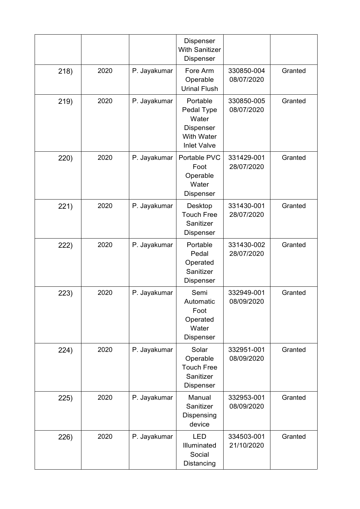|      |      |              | Dispenser<br><b>With Sanitizer</b><br>Dispenser                                         |                          |         |
|------|------|--------------|-----------------------------------------------------------------------------------------|--------------------------|---------|
| 218) | 2020 | P. Jayakumar | Fore Arm<br>Operable<br><b>Urinal Flush</b>                                             | 330850-004<br>08/07/2020 | Granted |
| 219) | 2020 | P. Jayakumar | Portable<br>Pedal Type<br>Water<br>Dispenser<br><b>With Water</b><br><b>Inlet Valve</b> | 330850-005<br>08/07/2020 | Granted |
| 220) | 2020 | P. Jayakumar | Portable PVC<br>Foot<br>Operable<br>Water<br>Dispenser                                  | 331429-001<br>28/07/2020 | Granted |
| 221) | 2020 | P. Jayakumar | Desktop<br><b>Touch Free</b><br>Sanitizer<br>Dispenser                                  | 331430-001<br>28/07/2020 | Granted |
| 222) | 2020 | P. Jayakumar | Portable<br>Pedal<br>Operated<br>Sanitizer<br>Dispenser                                 | 331430-002<br>28/07/2020 | Granted |
| 223) | 2020 | P. Jayakumar | Semi<br>Automatic<br>Foot<br>Operated<br>Water<br>Dispenser                             | 332949-001<br>08/09/2020 | Granted |
| 224) | 2020 | P. Jayakumar | Solar<br>Operable<br><b>Touch Free</b><br>Sanitizer<br>Dispenser                        | 332951-001<br>08/09/2020 | Granted |
| 225) | 2020 | P. Jayakumar | Manual<br>Sanitizer<br>Dispensing<br>device                                             | 332953-001<br>08/09/2020 | Granted |
| 226) | 2020 | P. Jayakumar | <b>LED</b><br>Illuminated<br>Social<br>Distancing                                       | 334503-001<br>21/10/2020 | Granted |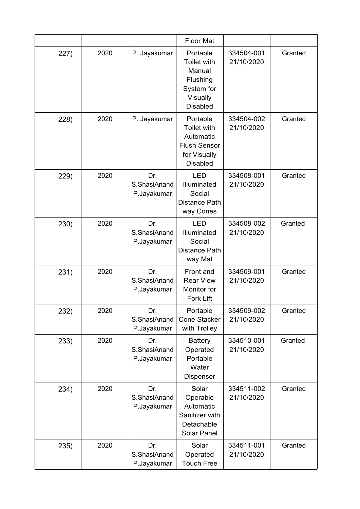|      |      |                                    | <b>Floor Mat</b>                                                                               |                          |         |
|------|------|------------------------------------|------------------------------------------------------------------------------------------------|--------------------------|---------|
| 227) | 2020 | P. Jayakumar                       | Portable<br>Toilet with<br>Manual<br>Flushing<br>System for<br>Visually<br><b>Disabled</b>     | 334504-001<br>21/10/2020 | Granted |
| 228) | 2020 | P. Jayakumar                       | Portable<br>Toilet with<br>Automatic<br><b>Flush Sensor</b><br>for Visually<br><b>Disabled</b> | 334504-002<br>21/10/2020 | Granted |
| 229) | 2020 | Dr.<br>S.ShasiAnand<br>P.Jayakumar | <b>LED</b><br>Illuminated<br>Social<br>Distance Path<br>way Cones                              | 334508-001<br>21/10/2020 | Granted |
| 230) | 2020 | Dr.<br>S.ShasiAnand<br>P.Jayakumar | <b>LED</b><br>Illuminated<br>Social<br><b>Distance Path</b><br>way Mat                         | 334508-002<br>21/10/2020 | Granted |
| 231) | 2020 | Dr.<br>S.ShasiAnand<br>P.Jayakumar | Front and<br><b>Rear View</b><br>Monitor for<br><b>Fork Lift</b>                               | 334509-001<br>21/10/2020 | Granted |
| 232) | 2020 | Dr.<br>S.ShasiAnand<br>P.Jayakumar | Portable<br><b>Cone Stacker</b><br>with Trolley                                                | 334509-002<br>21/10/2020 | Granted |
| 233) | 2020 | Dr.<br>S.ShasiAnand<br>P.Jayakumar | <b>Battery</b><br>Operated<br>Portable<br>Water<br>Dispenser                                   | 334510-001<br>21/10/2020 | Granted |
| 234) | 2020 | Dr.<br>S.ShasiAnand<br>P.Jayakumar | Solar<br>Operable<br>Automatic<br>Sanitizer with<br>Detachable<br><b>Solar Panel</b>           | 334511-002<br>21/10/2020 | Granted |
| 235) | 2020 | Dr.<br>S.ShasiAnand<br>P.Jayakumar | Solar<br>Operated<br><b>Touch Free</b>                                                         | 334511-001<br>21/10/2020 | Granted |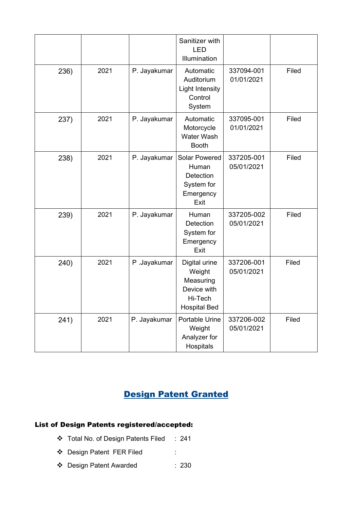|      |      |              | Sanitizer with<br><b>LED</b><br>Illumination                                          |                          |       |
|------|------|--------------|---------------------------------------------------------------------------------------|--------------------------|-------|
| 236) | 2021 | P. Jayakumar | Automatic<br>Auditorium<br><b>Light Intensity</b><br>Control<br>System                | 337094-001<br>01/01/2021 | Filed |
| 237) | 2021 | P. Jayakumar | Automatic<br>Motorcycle<br>Water Wash<br><b>Booth</b>                                 | 337095-001<br>01/01/2021 | Filed |
| 238) | 2021 | P. Jayakumar | Solar Powered<br>Human<br>Detection<br>System for<br>Emergency<br>Exit                | 337205-001<br>05/01/2021 | Filed |
| 239) | 2021 | P. Jayakumar | Human<br>Detection<br>System for<br>Emergency<br>Exit                                 | 337205-002<br>05/01/2021 | Filed |
| 240) | 2021 | P.Jayakumar  | Digital urine<br>Weight<br>Measuring<br>Device with<br>Hi-Tech<br><b>Hospital Bed</b> | 337206-001<br>05/01/2021 | Filed |
| 241) | 2021 | P. Jayakumar | Portable Urine<br>Weight<br>Analyzer for<br>Hospitals                                 | 337206-002<br>05/01/2021 | Filed |

# Design Patent Granted

#### List of Design Patents registered/accepted:

- Total No. of Design Patents Filed : 241
- Design Patent FER Filed :
- Design Patent Awarded : 230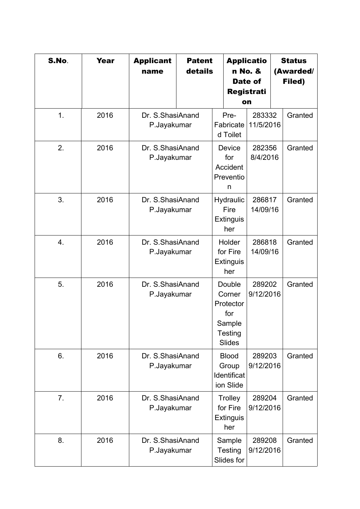| S.No.          | <b>Year</b> | <b>Applicant</b><br>name        | <b>Patent</b><br>details |                                                                            | <b>Applicatio</b><br>n No. &<br>Date of<br>Registrati<br>on | <b>Status</b><br>(Awarded/<br>Filed) |
|----------------|-------------|---------------------------------|--------------------------|----------------------------------------------------------------------------|-------------------------------------------------------------|--------------------------------------|
| 1.             | 2016        | Dr. S.ShasiAnand<br>P.Jayakumar |                          | Pre-<br>Fabricate<br>d Toilet                                              | 283332<br>11/5/2016                                         | Granted                              |
| 2.             | 2016        | Dr. S.ShasiAnand<br>P.Jayakumar |                          | Device<br>for<br>Accident<br>Preventio<br>n                                | 282356<br>8/4/2016                                          | Granted                              |
| 3.             | 2016        | Dr. S.ShasiAnand<br>P.Jayakumar |                          | Hydraulic<br>Fire<br>Extinguis<br>her                                      | 286817<br>14/09/16                                          | Granted                              |
| 4.             | 2016        | Dr. S.ShasiAnand<br>P.Jayakumar |                          | Holder<br>for Fire<br><b>Extinguis</b><br>her                              | 286818<br>14/09/16                                          | Granted                              |
| 5.             | 2016        | Dr. S.ShasiAnand<br>P.Jayakumar |                          | Double<br>Corner<br>Protector<br>for<br>Sample<br>Testing<br><b>Slides</b> | 289202<br>9/12/2016                                         | Granted                              |
| 6.             | 2016        | Dr. S.ShasiAnand<br>P.Jayakumar |                          | <b>Blood</b><br>Group<br>Identificat<br>ion Slide                          | 289203<br>9/12/2016                                         | Granted                              |
| 7 <sub>1</sub> | 2016        | Dr. S.ShasiAnand<br>P.Jayakumar |                          | Trolley<br>for Fire<br><b>Extinguis</b><br>her                             | 289204<br>9/12/2016                                         | Granted                              |
| 8.             | 2016        | Dr. S.ShasiAnand<br>P.Jayakumar |                          | Sample<br>Testing<br>Slides for                                            | 289208<br>9/12/2016                                         | Granted                              |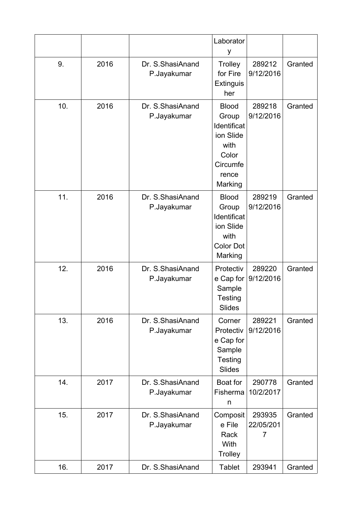|     |      |                                 | Laborator<br>у                                                                                     |                          |         |
|-----|------|---------------------------------|----------------------------------------------------------------------------------------------------|--------------------------|---------|
| 9.  | 2016 | Dr. S.ShasiAnand<br>P.Jayakumar | Trolley<br>for Fire<br><b>Extinguis</b><br>her                                                     | 289212<br>9/12/2016      | Granted |
| 10. | 2016 | Dr. S.ShasiAnand<br>P.Jayakumar | <b>Blood</b><br>Group<br>Identificat<br>ion Slide<br>with<br>Color<br>Circumfe<br>rence<br>Marking | 289218<br>9/12/2016      | Granted |
| 11. | 2016 | Dr. S.ShasiAnand<br>P.Jayakumar | <b>Blood</b><br>Group<br>Identificat<br>ion Slide<br>with<br><b>Color Dot</b><br>Marking           | 289219<br>9/12/2016      | Granted |
| 12. | 2016 | Dr. S.ShasiAnand<br>P.Jayakumar | Protectiv<br>e Cap for<br>Sample<br>Testing<br>Slides                                              | 289220<br>9/12/2016      | Granted |
| 13. | 2016 | Dr. S.ShasiAnand<br>P.Jayakumar | Corner<br>Protectiv<br>e Cap for<br>Sample<br>Testing<br><b>Slides</b>                             | 289221<br>9/12/2016      | Granted |
| 14. | 2017 | Dr. S.ShasiAnand<br>P.Jayakumar | Boat for<br>Fisherma<br>n                                                                          | 290778<br>10/2/2017      | Granted |
| 15. | 2017 | Dr. S.ShasiAnand<br>P.Jayakumar | Composit<br>e File<br>Rack<br>With<br><b>Trolley</b>                                               | 293935<br>22/05/201<br>7 | Granted |
| 16. | 2017 | Dr. S.ShasiAnand                | <b>Tablet</b>                                                                                      | 293941                   | Granted |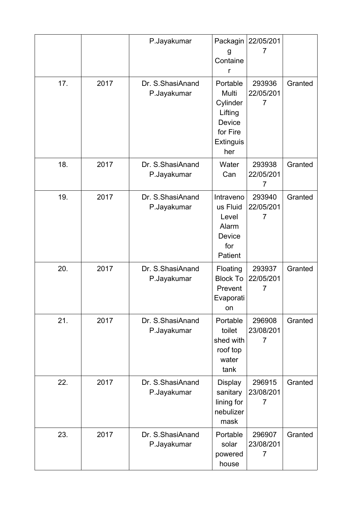|     |      | P.Jayakumar                      | Packagin<br>g<br>Containe<br>r                                                                   | 22/05/201<br>7                        |         |
|-----|------|----------------------------------|--------------------------------------------------------------------------------------------------|---------------------------------------|---------|
| 17. | 2017 | Dr. S. ShasiAnand<br>P.Jayakumar | Portable<br>Multi<br>Cylinder<br>Lifting<br><b>Device</b><br>for Fire<br><b>Extinguis</b><br>her | 293936<br>22/05/201<br>7              | Granted |
| 18. | 2017 | Dr. S.ShasiAnand<br>P.Jayakumar  | Water<br>Can                                                                                     | 293938<br>22/05/201<br>7              | Granted |
| 19. | 2017 | Dr. S.ShasiAnand<br>P.Jayakumar  | Intraveno<br>us Fluid<br>Level<br>Alarm<br>Device<br>for<br>Patient                              | 293940<br>22/05/201<br>7              | Granted |
| 20. | 2017 | Dr. S.ShasiAnand<br>P.Jayakumar  | Floating<br><b>Block To</b><br>Prevent<br>Evaporati<br>on                                        | 293937<br>22/05/201<br>7              | Granted |
| 21. | 2017 | Dr. S.ShasiAnand<br>P.Jayakumar  | Portable<br>toilet<br>shed with<br>roof top<br>water<br>tank                                     | 296908<br>23/08/201<br>$\overline{7}$ | Granted |
| 22. | 2017 | Dr. S.ShasiAnand<br>P.Jayakumar  | <b>Display</b><br>sanitary<br>lining for<br>nebulizer<br>mask                                    | 296915<br>23/08/201<br>7              | Granted |
| 23. | 2017 | Dr. S.ShasiAnand<br>P.Jayakumar  | Portable<br>solar<br>powered<br>house                                                            | 296907<br>23/08/201<br>$\overline{7}$ | Granted |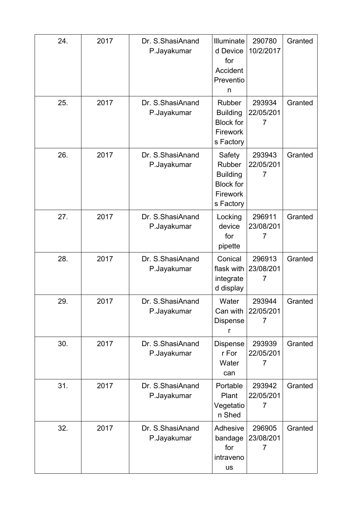| 24. | 2017 | Dr. S.ShasiAnand<br>P.Jayakumar | Illuminate<br>d Device<br>for<br>Accident<br>Preventio<br>n                      | 290780<br>10/2/2017      | Granted |
|-----|------|---------------------------------|----------------------------------------------------------------------------------|--------------------------|---------|
| 25. | 2017 | Dr. S.ShasiAnand<br>P.Jayakumar | Rubber<br><b>Building</b><br><b>Block for</b><br><b>Firework</b><br>s Factory    | 293934<br>22/05/201<br>7 | Granted |
| 26. | 2017 | Dr. S.ShasiAnand<br>P.Jayakumar | Safety<br>Rubber<br><b>Building</b><br><b>Block for</b><br>Firework<br>s Factory | 293943<br>22/05/201<br>7 | Granted |
| 27. | 2017 | Dr. S.ShasiAnand<br>P.Jayakumar | Locking<br>device<br>for<br>pipette                                              | 296911<br>23/08/201<br>7 | Granted |
| 28. | 2017 | Dr. S.ShasiAnand<br>P.Jayakumar | Conical<br>flask with<br>integrate<br>d display                                  | 296913<br>23/08/201<br>7 | Granted |
| 29. | 2017 | Dr. S.ShasiAnand<br>P.Jayakumar | Water<br>Can with<br>Dispense<br>r                                               | 293944<br>22/05/201<br>7 | Granted |
| 30. | 2017 | Dr. S.ShasiAnand<br>P.Jayakumar | Dispense<br>r For<br>Water<br>can                                                | 293939<br>22/05/201<br>7 | Granted |
| 31. | 2017 | Dr. S.ShasiAnand<br>P.Jayakumar | Portable<br>Plant<br>Vegetatio<br>n Shed                                         | 293942<br>22/05/201<br>7 | Granted |
| 32. | 2017 | Dr. S.ShasiAnand<br>P.Jayakumar | Adhesive<br>bandage<br>for<br>intraveno<br><b>us</b>                             | 296905<br>23/08/201<br>7 | Granted |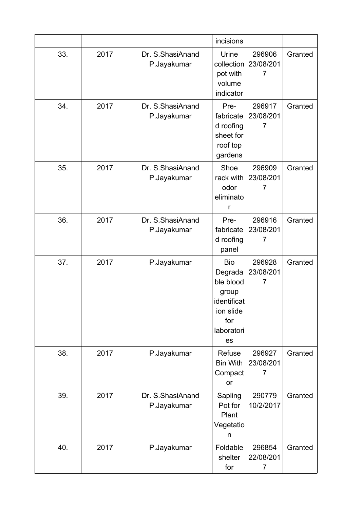|     |      |                                 | incisions                                                                                          |                                       |         |
|-----|------|---------------------------------|----------------------------------------------------------------------------------------------------|---------------------------------------|---------|
| 33. | 2017 | Dr. S.ShasiAnand<br>P.Jayakumar | Urine<br>collection<br>pot with<br>volume<br>indicator                                             | 296906<br>23/08/201<br>7              | Granted |
| 34. | 2017 | Dr. S.ShasiAnand<br>P.Jayakumar | Pre-<br>fabricate<br>d roofing<br>sheet for<br>roof top<br>gardens                                 | 296917<br>23/08/201<br>$\overline{7}$ | Granted |
| 35. | 2017 | Dr. S.ShasiAnand<br>P.Jayakumar | Shoe<br>rack with<br>odor<br>eliminato<br>r                                                        | 296909<br>23/08/201<br>$\overline{7}$ | Granted |
| 36. | 2017 | Dr. S.ShasiAnand<br>P.Jayakumar | Pre-<br>fabricate<br>d roofing<br>panel                                                            | 296916<br>23/08/201<br>$\overline{7}$ | Granted |
| 37. | 2017 | P.Jayakumar                     | <b>Bio</b><br>Degrada<br>ble blood<br>group<br>identificat<br>ion slide<br>for<br>laboratori<br>es | 296928<br>23/08/201<br>$\overline{7}$ | Granted |
| 38. | 2017 | P.Jayakumar                     | Refuse<br><b>Bin With</b><br>Compact<br>or                                                         | 296927<br>23/08/201<br>$\overline{7}$ | Granted |
| 39. | 2017 | Dr. S.ShasiAnand<br>P.Jayakumar | Sapling<br>Pot for<br>Plant<br>Vegetatio<br>n                                                      | 290779<br>10/2/2017                   | Granted |
| 40. | 2017 | P.Jayakumar                     | Foldable<br>shelter<br>for                                                                         | 296854<br>22/08/201<br>7              | Granted |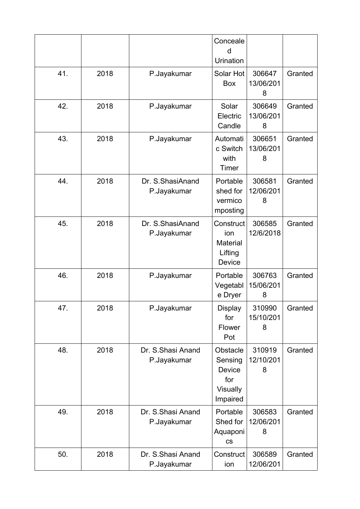|     |      |                                   | Conceale<br>d<br>Urination                                   |                          |         |
|-----|------|-----------------------------------|--------------------------------------------------------------|--------------------------|---------|
| 41. | 2018 | P.Jayakumar                       | Solar Hot<br>Box                                             | 306647<br>13/06/201<br>8 | Granted |
| 42. | 2018 | P.Jayakumar                       | Solar<br>Electric<br>Candle                                  | 306649<br>13/06/201<br>8 | Granted |
| 43. | 2018 | P.Jayakumar                       | Automati<br>c Switch<br>with<br>Timer                        | 306651<br>13/06/201<br>8 | Granted |
| 44. | 2018 | Dr. S.ShasiAnand<br>P.Jayakumar   | Portable<br>shed for<br>vermico<br>mposting                  | 306581<br>12/06/201<br>8 | Granted |
| 45. | 2018 | Dr. S.ShasiAnand<br>P.Jayakumar   | Construct<br>ion<br>Material<br>Lifting<br>Device            | 306585<br>12/6/2018      | Granted |
| 46. | 2018 | P.Jayakumar                       | Portable<br>Vegetabl<br>e Dryer                              | 306763<br>15/06/201<br>8 | Granted |
| 47. | 2018 | P.Jayakumar                       | <b>Display</b><br>for<br>Flower<br>Pot                       | 310990<br>15/10/201<br>8 | Granted |
| 48. | 2018 | Dr. S. Shasi Anand<br>P.Jayakumar | Obstacle<br>Sensing<br>Device<br>for<br>Visually<br>Impaired | 310919<br>12/10/201<br>8 | Granted |
| 49. | 2018 | Dr. S. Shasi Anand<br>P.Jayakumar | Portable<br>Shed for<br>Aquaponi<br>$\mathsf{CS}\phantom{0}$ | 306583<br>12/06/201<br>8 | Granted |
| 50. | 2018 | Dr. S. Shasi Anand<br>P.Jayakumar | Construct<br>ion                                             | 306589<br>12/06/201      | Granted |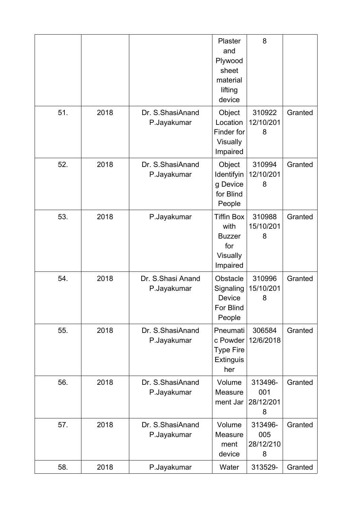|     |      |                                  | Plaster<br>and<br>Plywood<br>sheet<br>material<br>lifting<br>device              | 8                                |         |
|-----|------|----------------------------------|----------------------------------------------------------------------------------|----------------------------------|---------|
| 51. | 2018 | Dr. S.ShasiAnand<br>P.Jayakumar  | Object<br>Location<br>Finder for<br><b>Visually</b><br>Impaired                  | 310922<br>12/10/201<br>8         | Granted |
| 52. | 2018 | Dr. S.ShasiAnand<br>P.Jayakumar  | Object<br>Identifyin<br>g Device<br>for Blind<br>People                          | 310994<br>12/10/201<br>8         | Granted |
| 53. | 2018 | P.Jayakumar                      | <b>Tiffin Box</b><br>with<br><b>Buzzer</b><br>for<br><b>Visually</b><br>Impaired | 310988<br>15/10/201<br>8         | Granted |
| 54. | 2018 | Dr. S.Shasi Anand<br>P.Jayakumar | Obstacle<br>Signaling<br>Device<br>For Blind<br>People                           | 310996<br>15/10/201<br>8         | Granted |
| 55. | 2018 | Dr. S.ShasiAnand<br>P.Jayakumar  | Pneumati<br>c Powder<br><b>Type Fire</b><br><b>Extinguis</b><br>her              | 306584<br>12/6/2018              | Granted |
| 56. | 2018 | Dr. S.ShasiAnand<br>P.Jayakumar  | Volume<br>Measure<br>ment Jar                                                    | 313496-<br>001<br>28/12/201<br>8 | Granted |
| 57. | 2018 | Dr. S.ShasiAnand<br>P.Jayakumar  | Volume<br>Measure<br>ment<br>device                                              | 313496-<br>005<br>28/12/210<br>8 | Granted |
| 58. | 2018 | P.Jayakumar                      | Water                                                                            | 313529-                          | Granted |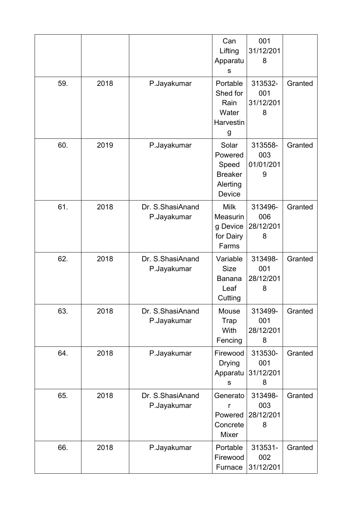|     |      |                                 | Can<br>Lifting<br>Apparatu<br>S                                   | 001<br>31/12/201<br>8            |         |
|-----|------|---------------------------------|-------------------------------------------------------------------|----------------------------------|---------|
| 59. | 2018 | P.Jayakumar                     | Portable<br>Shed for<br>Rain<br>Water<br>Harvestin<br>g           | 313532-<br>001<br>31/12/201<br>8 | Granted |
| 60. | 2019 | P.Jayakumar                     | Solar<br>Powered<br>Speed<br><b>Breaker</b><br>Alerting<br>Device | 313558-<br>003<br>01/01/201<br>9 | Granted |
| 61. | 2018 | Dr. S.ShasiAnand<br>P.Jayakumar | <b>Milk</b><br>Measurin<br>g Device<br>for Dairy<br>Farms         | 313496-<br>006<br>28/12/201<br>8 | Granted |
| 62. | 2018 | Dr. S.ShasiAnand<br>P.Jayakumar | Variable<br><b>Size</b><br><b>Banana</b><br>Leaf<br>Cutting       | 313498-<br>001<br>28/12/201<br>8 | Granted |
| 63. | 2018 | Dr. S.ShasiAnand<br>P.Jayakumar | Mouse<br><b>Trap</b><br>With<br>Fencing                           | 313499-<br>001<br>28/12/201<br>8 | Granted |
| 64. | 2018 | P.Jayakumar                     | Firewood<br><b>Drying</b><br>Apparatu<br>s                        | 313530-<br>001<br>31/12/201<br>8 | Granted |
| 65. | 2018 | Dr. S.ShasiAnand<br>P.Jayakumar | Generato<br>r<br>Powered<br>Concrete<br>Mixer                     | 313498-<br>003<br>28/12/201<br>8 | Granted |
| 66. | 2018 | P.Jayakumar                     | Portable<br>Firewood<br>Furnace                                   | 313531-<br>002<br>31/12/201      | Granted |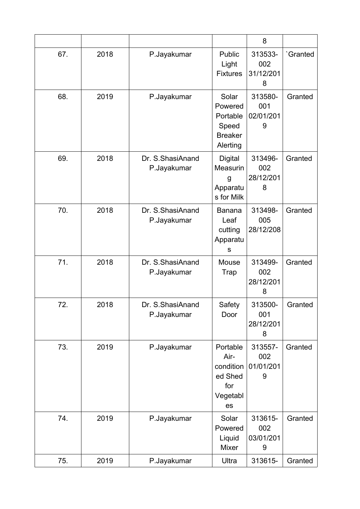|     |      |                                 |                                                                     | 8                                |          |
|-----|------|---------------------------------|---------------------------------------------------------------------|----------------------------------|----------|
| 67. | 2018 | P.Jayakumar                     | Public<br>Light<br><b>Fixtures</b>                                  | 313533-<br>002<br>31/12/201<br>8 | 'Granted |
| 68. | 2019 | P.Jayakumar                     | Solar<br>Powered<br>Portable<br>Speed<br><b>Breaker</b><br>Alerting | 313580-<br>001<br>02/01/201<br>9 | Granted  |
| 69. | 2018 | Dr. S.ShasiAnand<br>P.Jayakumar | <b>Digital</b><br>Measurin<br>g<br>Apparatu<br>s for Milk           | 313496-<br>002<br>28/12/201<br>8 | Granted  |
| 70. | 2018 | Dr. S.ShasiAnand<br>P.Jayakumar | <b>Banana</b><br>Leaf<br>cutting<br>Apparatu<br>S                   | 313498-<br>005<br>28/12/208      | Granted  |
| 71. | 2018 | Dr. S.ShasiAnand<br>P.Jayakumar | Mouse<br>Trap                                                       | 313499-<br>002<br>28/12/201<br>8 | Granted  |
| 72. | 2018 | Dr. S.ShasiAnand<br>P.Jayakumar | Safety<br>Door                                                      | 313500-<br>001<br>28/12/201<br>8 | Granted  |
| 73. | 2019 | P.Jayakumar                     | Portable<br>Air-<br>condition<br>ed Shed<br>for<br>Vegetabl<br>es   | 313557-<br>002<br>01/01/201<br>9 | Granted  |
| 74. | 2019 | P.Jayakumar                     | Solar<br>Powered<br>Liquid<br>Mixer                                 | 313615-<br>002<br>03/01/201<br>9 | Granted  |
| 75. | 2019 | P.Jayakumar                     | Ultra                                                               | 313615-                          | Granted  |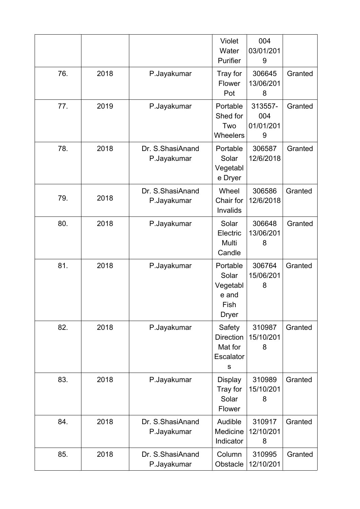|     |      |                                 | Violet<br>Water<br>Purifier                                    | 004<br>03/01/201<br>9            |         |
|-----|------|---------------------------------|----------------------------------------------------------------|----------------------------------|---------|
| 76. | 2018 | P.Jayakumar                     | Tray for<br>Flower<br>Pot                                      | 306645<br>13/06/201<br>8         | Granted |
| 77. | 2019 | P.Jayakumar                     | Portable<br>Shed for<br>Two<br><b>Wheelers</b>                 | 313557-<br>004<br>01/01/201<br>9 | Granted |
| 78. | 2018 | Dr. S.ShasiAnand<br>P.Jayakumar | Portable<br>Solar<br>Vegetabl<br>e Dryer                       | 306587<br>12/6/2018              | Granted |
| 79. | 2018 | Dr. S.ShasiAnand<br>P.Jayakumar | Wheel<br>Chair for<br>Invalids                                 | 306586<br>12/6/2018              | Granted |
| 80. | 2018 | P.Jayakumar                     | Solar<br>Electric<br>Multi<br>Candle                           | 306648<br>13/06/201<br>8         | Granted |
| 81. | 2018 | P.Jayakumar                     | Portable<br>Solar<br>Vegetabl<br>e and<br>Fish<br><b>Dryer</b> | 306764<br>15/06/201<br>8         | Granted |
| 82. | 2018 | P.Jayakumar                     | Safety<br><b>Direction</b><br>Mat for<br>Escalator<br>S        | 310987<br>15/10/201<br>8         | Granted |
| 83. | 2018 | P.Jayakumar                     | <b>Display</b><br>Tray for<br>Solar<br>Flower                  | 310989<br>15/10/201<br>8         | Granted |
| 84. | 2018 | Dr. S.ShasiAnand<br>P.Jayakumar | Audible<br>Medicine<br>Indicator                               | 310917<br>12/10/201<br>8         | Granted |
| 85. | 2018 | Dr. S.ShasiAnand<br>P.Jayakumar | Column<br>Obstacle                                             | 310995<br>12/10/201              | Granted |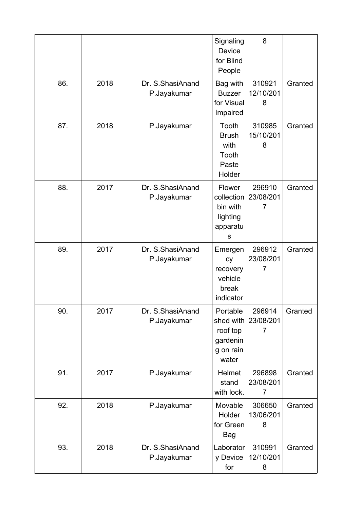|     |      |                                 | Signaling<br>Device<br>for Blind<br>People                          | 8                                     |         |
|-----|------|---------------------------------|---------------------------------------------------------------------|---------------------------------------|---------|
| 86. | 2018 | Dr. S.ShasiAnand<br>P.Jayakumar | Bag with<br><b>Buzzer</b><br>for Visual<br>Impaired                 | 310921<br>12/10/201<br>8              | Granted |
| 87. | 2018 | P.Jayakumar                     | Tooth<br><b>Brush</b><br>with<br>Tooth<br>Paste<br>Holder           | 310985<br>15/10/201<br>8              | Granted |
| 88. | 2017 | Dr. S.ShasiAnand<br>P.Jayakumar | Flower<br>collection<br>bin with<br>lighting<br>apparatu<br>S       | 296910<br>23/08/201<br>$\overline{7}$ | Granted |
| 89. | 2017 | Dr. S.ShasiAnand<br>P.Jayakumar | Emergen<br>cy<br>recovery<br>vehicle<br>break<br>indicator          | 296912<br>23/08/201<br>$\overline{7}$ | Granted |
| 90. | 2017 | Dr. S.ShasiAnand<br>P.Jayakumar | Portable<br>shed with<br>roof top<br>gardenin<br>g on rain<br>water | 296914<br>23/08/201<br>7              | Granted |
| 91. | 2017 | P.Jayakumar                     | <b>Helmet</b><br>stand<br>with lock.                                | 296898<br>23/08/201<br>7              | Granted |
| 92. | 2018 | P.Jayakumar                     | Movable<br>Holder<br>for Green<br>Bag                               | 306650<br>13/06/201<br>8              | Granted |
| 93. | 2018 | Dr. S.ShasiAnand<br>P.Jayakumar | Laborator<br>y Device<br>for                                        | 310991<br>12/10/201<br>8              | Granted |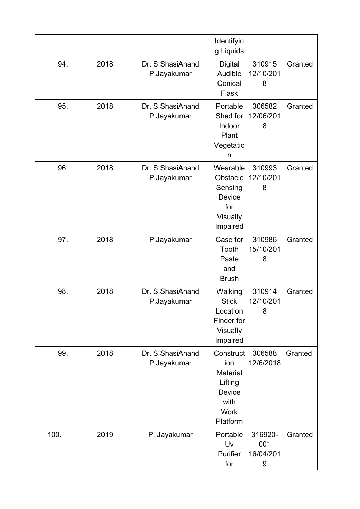|      |      |                                 | Identifyin<br>g Liquids                                                                            |                                  |         |
|------|------|---------------------------------|----------------------------------------------------------------------------------------------------|----------------------------------|---------|
| 94.  | 2018 | Dr. S.ShasiAnand<br>P.Jayakumar | Digital<br>Audible<br>Conical<br>Flask                                                             | 310915<br>12/10/201<br>8         | Granted |
| 95.  | 2018 | Dr. S.ShasiAnand<br>P.Jayakumar | Portable<br>Shed for<br>Indoor<br>Plant<br>Vegetatio<br>n                                          | 306582<br>12/06/201<br>8         | Granted |
| 96.  | 2018 | Dr. S.ShasiAnand<br>P.Jayakumar | Wearable<br>Obstacle<br>Sensing<br><b>Device</b><br>for<br>Visually<br>Impaired                    | 310993<br>12/10/201<br>8         | Granted |
| 97.  | 2018 | P.Jayakumar                     | Case for<br>Tooth<br>Paste<br>and<br><b>Brush</b>                                                  | 310986<br>15/10/201<br>8         | Granted |
| 98.  | 2018 | Dr. S.ShasiAnand<br>P.Jayakumar | Walking<br><b>Stick</b><br>Location<br>Finder for<br><b>Visually</b><br>Impaired                   | 310914<br>12/10/201<br>8         | Granted |
| 99.  | 2018 | Dr. S.ShasiAnand<br>P.Jayakumar | Construct<br>ion<br><b>Material</b><br>Lifting<br><b>Device</b><br>with<br><b>Work</b><br>Platform | 306588<br>12/6/2018              | Granted |
| 100. | 2019 | P. Jayakumar                    | Portable<br>Uv<br>Purifier<br>for                                                                  | 316920-<br>001<br>16/04/201<br>9 | Granted |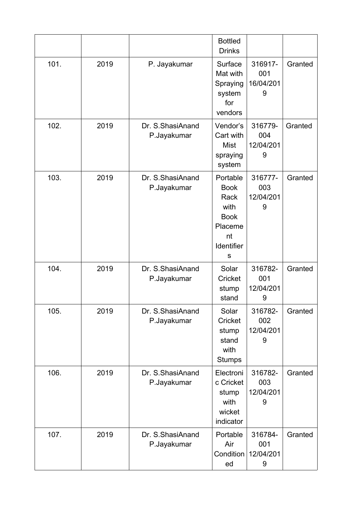|      |      |                                 | <b>Bottled</b><br><b>Drinks</b>                                                            |                                  |         |
|------|------|---------------------------------|--------------------------------------------------------------------------------------------|----------------------------------|---------|
| 101. | 2019 | P. Jayakumar                    | Surface<br>Mat with<br>Spraying<br>system<br>for<br>vendors                                | 316917-<br>001<br>16/04/201<br>9 | Granted |
| 102. | 2019 | Dr. S.ShasiAnand<br>P.Jayakumar | Vendor's<br>Cart with<br><b>Mist</b><br>spraying<br>system                                 | 316779-<br>004<br>12/04/201<br>9 | Granted |
| 103. | 2019 | Dr. S.ShasiAnand<br>P.Jayakumar | Portable<br><b>Book</b><br>Rack<br>with<br><b>Book</b><br>Placeme<br>nt<br>Identifier<br>S | 316777-<br>003<br>12/04/201<br>9 | Granted |
| 104. | 2019 | Dr. S.ShasiAnand<br>P.Jayakumar | Solar<br>Cricket<br>stump<br>stand                                                         | 316782-<br>001<br>12/04/201<br>9 | Granted |
| 105. | 2019 | Dr. S.ShasiAnand<br>P.Jayakumar | Solar<br>Cricket<br>stump<br>stand<br>with<br><b>Stumps</b>                                | 316782-<br>002<br>12/04/201<br>9 | Granted |
| 106. | 2019 | Dr. S.ShasiAnand<br>P.Jayakumar | Electroni<br>c Cricket<br>stump<br>with<br>wicket<br>indicator                             | 316782-<br>003<br>12/04/201<br>9 | Granted |
| 107. | 2019 | Dr. S.ShasiAnand<br>P.Jayakumar | Portable<br>Air<br>Condition<br>ed                                                         | 316784-<br>001<br>12/04/201<br>9 | Granted |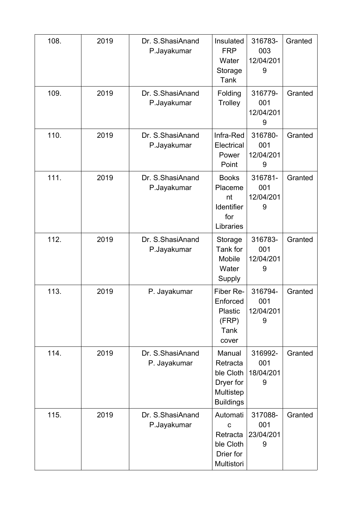| 108. | 2019 | Dr. S.ShasiAnand<br>P.Jayakumar  | Insulated<br><b>FRP</b><br>Water<br>Storage<br>Tank                           | 316783-<br>003<br>12/04/201<br>9 | Granted |
|------|------|----------------------------------|-------------------------------------------------------------------------------|----------------------------------|---------|
| 109. | 2019 | Dr. S.ShasiAnand<br>P.Jayakumar  | Folding<br>Trolley                                                            | 316779-<br>001<br>12/04/201<br>9 | Granted |
| 110. | 2019 | Dr. S.ShasiAnand<br>P.Jayakumar  | Infra-Red<br>Electrical<br>Power<br>Point                                     | 316780-<br>001<br>12/04/201<br>9 | Granted |
| 111. | 2019 | Dr. S.ShasiAnand<br>P.Jayakumar  | <b>Books</b><br>Placeme<br>nt<br>Identifier<br>for<br>Libraries               | 316781-<br>001<br>12/04/201<br>9 | Granted |
| 112. | 2019 | Dr. S.ShasiAnand<br>P.Jayakumar  | Storage<br>Tank for<br><b>Mobile</b><br>Water<br>Supply                       | 316783-<br>001<br>12/04/201<br>9 | Granted |
| 113. | 2019 | P. Jayakumar                     | Fiber Re-<br>Enforced<br>Plastic<br>(FRP)<br>Tank<br>cover                    | 316794-<br>001<br>12/04/201<br>9 | Granted |
| 114. | 2019 | Dr. S.ShasiAnand<br>P. Jayakumar | Manual<br>Retracta<br>ble Cloth<br>Dryer for<br>Multistep<br><b>Buildings</b> | 316992-<br>001<br>18/04/201<br>9 | Granted |
| 115. | 2019 | Dr. S.ShasiAnand<br>P.Jayakumar  | Automati<br>$\mathbf C$<br>Retracta<br>ble Cloth<br>Drier for<br>Multistori   | 317088-<br>001<br>23/04/201<br>9 | Granted |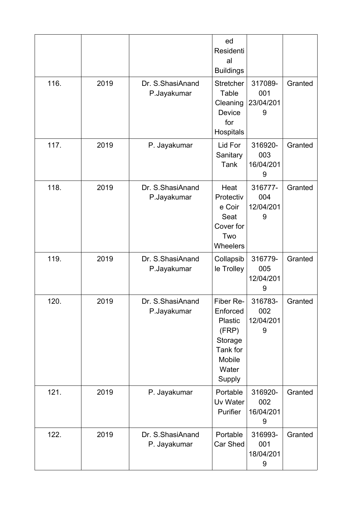|      |      |                                  | ed<br>Residenti<br>al<br><b>Buildings</b>                                                            |                                  |         |
|------|------|----------------------------------|------------------------------------------------------------------------------------------------------|----------------------------------|---------|
| 116. | 2019 | Dr. S.ShasiAnand<br>P.Jayakumar  | <b>Stretcher</b><br>Table<br>Cleaning<br>Device<br>for<br>Hospitals                                  | 317089-<br>001<br>23/04/201<br>9 | Granted |
| 117. | 2019 | P. Jayakumar                     | Lid For<br>Sanitary<br>Tank                                                                          | 316920-<br>003<br>16/04/201<br>9 | Granted |
| 118. | 2019 | Dr. S. ShasiAnand<br>P.Jayakumar | Heat<br>Protectiv<br>e Coir<br>Seat<br>Cover for<br>Two<br><b>Wheelers</b>                           | 316777-<br>004<br>12/04/201<br>9 | Granted |
| 119. | 2019 | Dr. S.ShasiAnand<br>P.Jayakumar  | Collapsib<br>le Trolley                                                                              | 316779-<br>005<br>12/04/201<br>9 | Granted |
| 120. | 2019 | Dr. S.ShasiAnand<br>P.Jayakumar  | Fiber Re-<br>Enforced<br><b>Plastic</b><br>(FRP)<br>Storage<br>Tank for<br>Mobile<br>Water<br>Supply | 316783-<br>002<br>12/04/201<br>9 | Granted |
| 121. | 2019 | P. Jayakumar                     | Portable<br>Uv Water<br>Purifier                                                                     | 316920-<br>002<br>16/04/201<br>9 | Granted |
| 122. | 2019 | Dr. S.ShasiAnand<br>P. Jayakumar | Portable<br>Car Shed                                                                                 | 316993-<br>001<br>18/04/201<br>9 | Granted |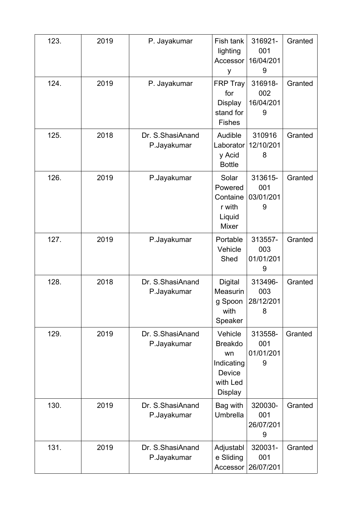| 123. | 2019 | P. Jayakumar                    | Fish tank<br>lighting<br>Accessor<br>У                                                       | 316921-<br>001<br>16/04/201<br>9 | Granted |
|------|------|---------------------------------|----------------------------------------------------------------------------------------------|----------------------------------|---------|
| 124. | 2019 | P. Jayakumar                    | <b>FRP Tray</b><br>for<br><b>Display</b><br>stand for<br><b>Fishes</b>                       | 316918-<br>002<br>16/04/201<br>9 | Granted |
| 125. | 2018 | Dr. S.ShasiAnand<br>P.Jayakumar | Audible<br>Laborator<br>y Acid<br><b>Bottle</b>                                              | 310916<br>12/10/201<br>8         | Granted |
| 126. | 2019 | P.Jayakumar                     | Solar<br>Powered<br>Containe<br>r with<br>Liquid<br><b>Mixer</b>                             | 313615-<br>001<br>03/01/201<br>9 | Granted |
| 127. | 2019 | P.Jayakumar                     | Portable<br>Vehicle<br>Shed                                                                  | 313557-<br>003<br>01/01/201<br>9 | Granted |
| 128. | 2018 | Dr. S.ShasiAnand<br>P.Jayakumar | <b>Digital</b><br>Measurin<br>g Spoon<br>with<br>Speaker                                     | 313496-<br>003<br>28/12/201<br>8 | Granted |
| 129. | 2019 | Dr. S.ShasiAnand<br>P.Jayakumar | Vehicle<br><b>Breakdo</b><br>wn<br>Indicating<br><b>Device</b><br>with Led<br><b>Display</b> | 313558-<br>001<br>01/01/201<br>9 | Granted |
| 130. | 2019 | Dr. S.ShasiAnand<br>P.Jayakumar | Bag with<br>Umbrella                                                                         | 320030-<br>001<br>26/07/201<br>9 | Granted |
| 131. | 2019 | Dr. S.ShasiAnand<br>P.Jayakumar | Adjustabl<br>e Sliding<br>Accessor                                                           | 320031-<br>001<br>26/07/201      | Granted |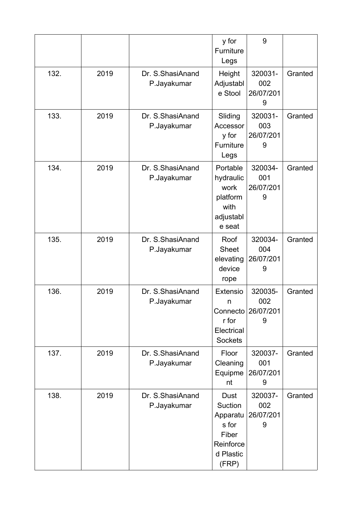|      |      |                                  | y for<br>Furniture<br>Legs                                                       | 9                                |         |
|------|------|----------------------------------|----------------------------------------------------------------------------------|----------------------------------|---------|
| 132. | 2019 | Dr. S.ShasiAnand<br>P.Jayakumar  | Height<br>Adjustabl<br>e Stool                                                   | 320031-<br>002<br>26/07/201<br>9 | Granted |
| 133. | 2019 | Dr. S.ShasiAnand<br>P.Jayakumar  | Sliding<br>Accessor<br>y for<br>Furniture<br>Legs                                | 320031-<br>003<br>26/07/201<br>9 | Granted |
| 134. | 2019 | Dr. S.ShasiAnand<br>P.Jayakumar  | Portable<br>hydraulic<br>work<br>platform<br>with<br>adjustabl<br>e seat         | 320034-<br>001<br>26/07/201<br>9 | Granted |
| 135. | 2019 | Dr. S.ShasiAnand<br>P.Jayakumar  | Roof<br><b>Sheet</b><br>elevating<br>device<br>rope                              | 320034-<br>004<br>26/07/201<br>9 | Granted |
| 136. | 2019 | Dr. S.ShasiAnand<br>P.Jayakumar  | Extensio<br>n<br>Connecto<br>r for<br>Electrical<br><b>Sockets</b>               | 320035-<br>002<br>26/07/201<br>9 | Granted |
| 137. | 2019 | Dr. S.ShasiAnand<br>P.Jayakumar  | Floor<br>Cleaning<br>Equipme<br>nt                                               | 320037-<br>001<br>26/07/201<br>9 | Granted |
| 138. | 2019 | Dr. S. ShasiAnand<br>P.Jayakumar | Dust<br>Suction<br>Apparatu<br>s for<br>Fiber<br>Reinforce<br>d Plastic<br>(FRP) | 320037-<br>002<br>26/07/201<br>9 | Granted |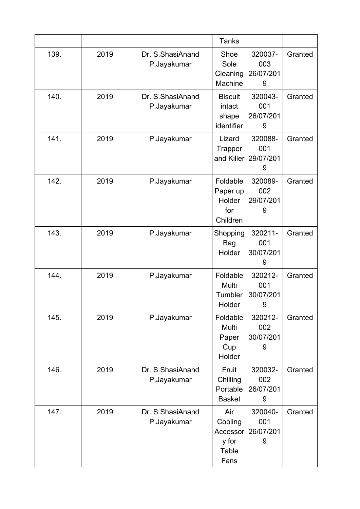|      |      |                                 | <b>Tanks</b>                                         |                                  |         |
|------|------|---------------------------------|------------------------------------------------------|----------------------------------|---------|
| 139. | 2019 | Dr. S.ShasiAnand<br>P.Jayakumar | Shoe<br>Sole<br>Cleaning<br>Machine                  | 320037-<br>003<br>26/07/201<br>9 | Granted |
| 140. | 2019 | Dr. S.ShasiAnand<br>P.Jayakumar | <b>Biscuit</b><br>intact<br>shape<br>identifier      | 320043-<br>001<br>26/07/201<br>9 | Granted |
| 141. | 2019 | P.Jayakumar                     | Lizard<br>Trapper<br>and Killer                      | 320088-<br>001<br>29/07/201<br>9 | Granted |
| 142. | 2019 | P.Jayakumar                     | Foldable<br>Paper up<br>Holder<br>for<br>Children    | 320089-<br>002<br>29/07/201<br>9 | Granted |
| 143. | 2019 | P.Jayakumar                     | Shopping<br><b>Bag</b><br>Holder                     | 320211-<br>001<br>30/07/201<br>9 | Granted |
| 144. | 2019 | P.Jayakumar                     | Foldable<br>Multi<br>Tumbler<br>Holder               | 320212-<br>001<br>30/07/201<br>9 | Granted |
| 145. | 2019 | P.Jayakumar                     | Foldable<br>Multi<br>Paper<br>Cup<br>Holder          | 320212-<br>002<br>30/07/201<br>9 | Granted |
| 146. | 2019 | Dr. S.ShasiAnand<br>P.Jayakumar | Fruit<br>Chilling<br>Portable<br><b>Basket</b>       | 320032-<br>002<br>26/07/201<br>9 | Granted |
| 147. | 2019 | Dr. S.ShasiAnand<br>P.Jayakumar | Air<br>Cooling<br>Accessor<br>y for<br>Table<br>Fans | 320040-<br>001<br>26/07/201<br>9 | Granted |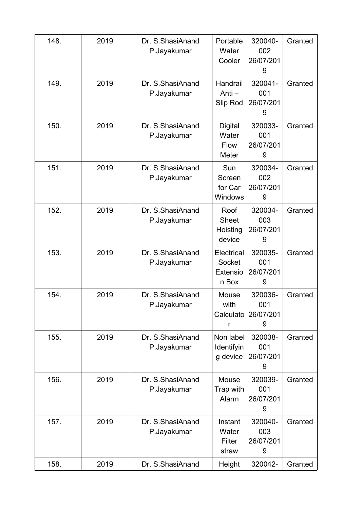| 148. | 2019 | Dr. S.ShasiAnand<br>P.Jayakumar | Portable<br>Water<br>Cooler                      | 320040-<br>002<br>26/07/201<br>9 | Granted |
|------|------|---------------------------------|--------------------------------------------------|----------------------------------|---------|
| 149. | 2019 | Dr. S.ShasiAnand<br>P.Jayakumar | Handrail<br>Anti-<br>Slip Rod                    | 320041-<br>001<br>26/07/201<br>9 | Granted |
| 150. | 2019 | Dr. S.ShasiAnand<br>P.Jayakumar | <b>Digital</b><br>Water<br>Flow<br>Meter         | 320033-<br>001<br>26/07/201<br>9 | Granted |
| 151. | 2019 | Dr. S.ShasiAnand<br>P.Jayakumar | Sun<br>Screen<br>for Car<br><b>Windows</b>       | 320034-<br>002<br>26/07/201<br>9 | Granted |
| 152. | 2019 | Dr. S.ShasiAnand<br>P.Jayakumar | Roof<br><b>Sheet</b><br>Hoisting<br>device       | 320034-<br>003<br>26/07/201<br>9 | Granted |
| 153. | 2019 | Dr. S.ShasiAnand<br>P.Jayakumar | Electrical<br>Socket<br><b>Extensio</b><br>n Box | 320035-<br>001<br>26/07/201<br>9 | Granted |
| 154. | 2019 | Dr. S.ShasiAnand<br>P.Jayakumar | Mouse<br>with<br>Calculato<br>r                  | 320036-<br>001<br>26/07/201<br>9 | Granted |
| 155. | 2019 | Dr. S.ShasiAnand<br>P.Jayakumar | Non label<br>Identifyin<br>g device              | 320038-<br>001<br>26/07/201<br>9 | Granted |
| 156. | 2019 | Dr. S.ShasiAnand<br>P.Jayakumar | Mouse<br>Trap with<br>Alarm                      | 320039-<br>001<br>26/07/201<br>9 | Granted |
| 157. | 2019 | Dr. S.ShasiAnand<br>P.Jayakumar | Instant<br>Water<br>Filter<br>straw              | 320040-<br>003<br>26/07/201<br>9 | Granted |
| 158. | 2019 | Dr. S.ShasiAnand                | Height                                           | 320042-                          | Granted |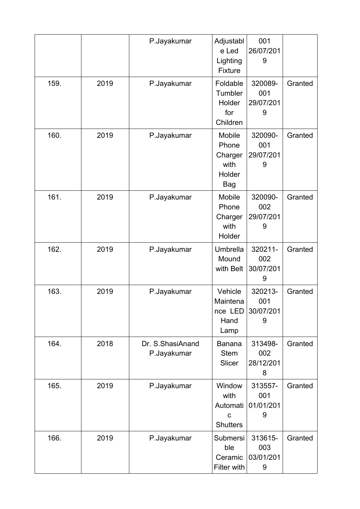|      |      | P.Jayakumar                     | Adjustabl<br>e Led<br>Lighting<br>Fixture                    | 001<br>26/07/201<br>9            |         |
|------|------|---------------------------------|--------------------------------------------------------------|----------------------------------|---------|
| 159. | 2019 | P.Jayakumar                     | Foldable<br>Tumbler<br>Holder<br>for<br>Children             | 320089-<br>001<br>29/07/201<br>9 | Granted |
| 160. | 2019 | P.Jayakumar                     | Mobile<br>Phone<br>Charger<br>with<br>Holder<br>Bag          | 320090-<br>001<br>29/07/201<br>9 | Granted |
| 161. | 2019 | P.Jayakumar                     | Mobile<br>Phone<br>Charger<br>with<br>Holder                 | 320090-<br>002<br>29/07/201<br>9 | Granted |
| 162. | 2019 | P.Jayakumar                     | Umbrella<br>Mound<br>with Belt                               | 320211-<br>002<br>30/07/201<br>9 | Granted |
| 163. | 2019 | P.Jayakumar                     | Vehicle<br>Maintena<br>nce LED<br>Hand<br>Lamp               | 320213-<br>001<br>30/07/201<br>9 | Granted |
| 164. | 2018 | Dr. S.ShasiAnand<br>P.Jayakumar | <b>Banana</b><br><b>Stem</b><br>Slicer                       | 313498-<br>002<br>28/12/201<br>8 | Granted |
| 165. | 2019 | P.Jayakumar                     | Window<br>with<br>Automati<br>$\mathbf C$<br><b>Shutters</b> | 313557-<br>001<br>01/01/201<br>9 | Granted |
| 166. | 2019 | P.Jayakumar                     | Submersi<br>ble<br>Ceramic<br>Filter with                    | 313615-<br>003<br>03/01/201<br>9 | Granted |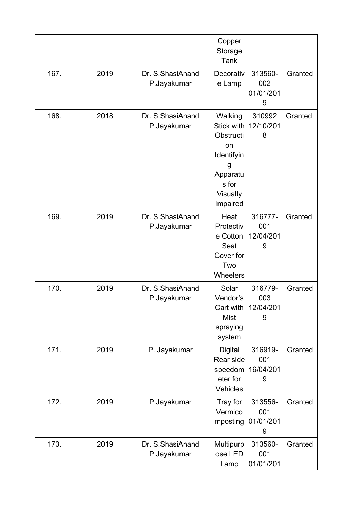|      |      |                                 | Copper<br>Storage<br>Tank                                                                                       |                                  |         |
|------|------|---------------------------------|-----------------------------------------------------------------------------------------------------------------|----------------------------------|---------|
| 167. | 2019 | Dr. S.ShasiAnand<br>P.Jayakumar | Decorativ<br>e Lamp                                                                                             | 313560-<br>002<br>01/01/201<br>9 | Granted |
| 168. | 2018 | Dr. S.ShasiAnand<br>P.Jayakumar | Walking<br>Stick with<br>Obstructi<br><b>on</b><br>Identifyin<br>g<br>Apparatu<br>s for<br>Visually<br>Impaired | 310992<br>12/10/201<br>8         | Granted |
| 169. | 2019 | Dr. S.ShasiAnand<br>P.Jayakumar | Heat<br>Protectiv<br>e Cotton<br>Seat<br>Cover for<br>Two<br>Wheelers                                           | 316777-<br>001<br>12/04/201<br>9 | Granted |
| 170. | 2019 | Dr. S.ShasiAnand<br>P.Jayakumar | Solar<br>Vendor's<br>Cart with<br><b>Mist</b><br>spraying<br>system                                             | 316779-<br>003<br>12/04/201      | Granted |
| 171. | 2019 | P. Jayakumar                    | Digital<br>Rear side<br>speedom<br>eter for<br>Vehicles                                                         | 316919-<br>001<br>16/04/201<br>9 | Granted |
| 172. | 2019 | P.Jayakumar                     | Tray for<br>Vermico<br>mposting                                                                                 | 313556-<br>001<br>01/01/201<br>9 | Granted |
| 173. | 2019 | Dr. S.ShasiAnand<br>P.Jayakumar | Multipurp<br>ose LED<br>Lamp                                                                                    | 313560-<br>001<br>01/01/201      | Granted |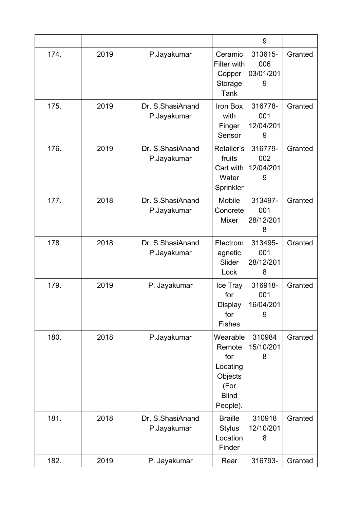|      |      |                                 |                                                                                      | 9                                |         |
|------|------|---------------------------------|--------------------------------------------------------------------------------------|----------------------------------|---------|
| 174. | 2019 | P.Jayakumar                     | Ceramic<br>Filter with<br>Copper<br>Storage<br><b>Tank</b>                           | 313615-<br>006<br>03/01/201<br>9 | Granted |
| 175. | 2019 | Dr. S.ShasiAnand<br>P.Jayakumar | Iron Box<br>with<br>Finger<br>Sensor                                                 | 316778-<br>001<br>12/04/201<br>9 | Granted |
| 176. | 2019 | Dr. S.ShasiAnand<br>P.Jayakumar | Retailer's<br>fruits<br>Cart with<br>Water<br>Sprinkler                              | 316779-<br>002<br>12/04/201<br>9 | Granted |
| 177. | 2018 | Dr. S.ShasiAnand<br>P.Jayakumar | Mobile<br>Concrete<br>Mixer                                                          | 313497-<br>001<br>28/12/201<br>8 | Granted |
| 178. | 2018 | Dr. S.ShasiAnand<br>P.Jayakumar | Electrom<br>agnetic<br>Slider<br>Lock                                                | 313495-<br>001<br>28/12/201<br>8 | Granted |
| 179. | 2019 | P. Jayakumar                    | Ice Tray<br>for<br>Display<br>for<br><b>Fishes</b>                                   | 316918-<br>001<br>16/04/201<br>9 | Granted |
| 180. | 2018 | P.Jayakumar                     | Wearable<br>Remote<br>for<br>Locating<br>Objects<br>(For<br><b>Blind</b><br>People). | 310984<br>15/10/201<br>8         | Granted |
| 181. | 2018 | Dr. S.ShasiAnand<br>P.Jayakumar | <b>Braille</b><br><b>Stylus</b><br>Location<br>Finder                                | 310918<br>12/10/201<br>8         | Granted |
| 182. | 2019 | P. Jayakumar                    | Rear                                                                                 | 316793-                          | Granted |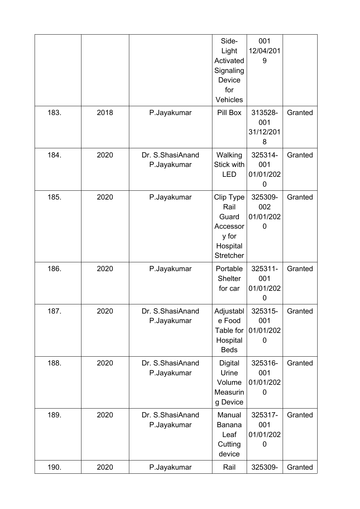|      |      |                                 | Side-<br>Light<br>Activated<br>Signaling<br>Device<br>for<br>Vehicles           | 001<br>12/04/201<br>9            |         |
|------|------|---------------------------------|---------------------------------------------------------------------------------|----------------------------------|---------|
| 183. | 2018 | P.Jayakumar                     | Pill Box                                                                        | 313528-<br>001<br>31/12/201<br>8 | Granted |
| 184. | 2020 | Dr. S.ShasiAnand<br>P.Jayakumar | Walking<br>Stick with<br>LED                                                    | 325314-<br>001<br>01/01/202<br>0 | Granted |
| 185. | 2020 | P.Jayakumar                     | Clip Type<br>Rail<br>Guard<br>Accessor<br>y for<br>Hospital<br><b>Stretcher</b> | 325309-<br>002<br>01/01/202<br>0 | Granted |
| 186. | 2020 | P.Jayakumar                     | Portable<br><b>Shelter</b><br>for car                                           | 325311-<br>001<br>01/01/202<br>0 | Granted |
| 187. | 2020 | Dr. S.ShasiAnand<br>P.Jayakumar | Adjustabl<br>e Food<br>Table for<br>Hospital<br><b>Beds</b>                     | 325315-<br>001<br>01/01/202<br>0 | Granted |
| 188. | 2020 | Dr. S.ShasiAnand<br>P.Jayakumar | <b>Digital</b><br>Urine<br>Volume<br>Measurin<br>g Device                       | 325316-<br>001<br>01/01/202<br>0 | Granted |
| 189. | 2020 | Dr. S.ShasiAnand<br>P.Jayakumar | Manual<br><b>Banana</b><br>Leaf<br>Cutting<br>device                            | 325317-<br>001<br>01/01/202<br>0 | Granted |
| 190. | 2020 | P.Jayakumar                     | Rail                                                                            | 325309-                          | Granted |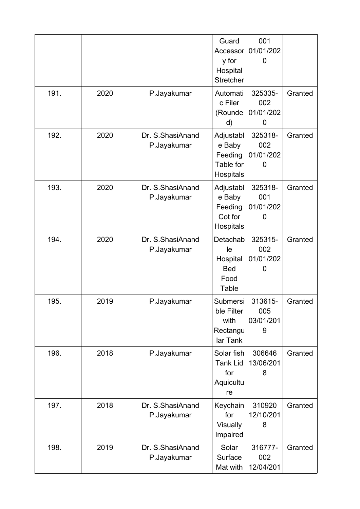|      |      |                                 | Guard<br>Accessor<br>y for<br>Hospital<br>Stretcher              | 001<br>01/01/202<br>0            |         |
|------|------|---------------------------------|------------------------------------------------------------------|----------------------------------|---------|
| 191. | 2020 | P.Jayakumar                     | Automati<br>c Filer<br>(Rounde<br>d)                             | 325335-<br>002<br>01/01/202<br>0 | Granted |
| 192. | 2020 | Dr. S.ShasiAnand<br>P.Jayakumar | Adjustabl<br>e Baby<br>Feeding<br>Table for<br>Hospitals         | 325318-<br>002<br>01/01/202<br>0 | Granted |
| 193. | 2020 | Dr. S.ShasiAnand<br>P.Jayakumar | Adjustabl<br>e Baby<br>Feeding<br>Cot for<br>Hospitals           | 325318-<br>001<br>01/01/202<br>0 | Granted |
| 194. | 2020 | Dr. S.ShasiAnand<br>P.Jayakumar | Detachab<br>le<br>Hospital<br><b>Bed</b><br>Food<br><b>Table</b> | 325315-<br>002<br>01/01/202<br>0 | Granted |
| 195. | 2019 | P.Jayakumar                     | Submersi<br>ble Filter<br>with<br>Rectangu<br>lar Tank           | 313615-<br>005<br>03/01/201<br>9 | Granted |
| 196. | 2018 | P.Jayakumar                     | Solar fish<br><b>Tank Lid</b><br>for<br>Aquicultu<br>re          | 306646<br>13/06/201<br>8         | Granted |
| 197. | 2018 | Dr. S.ShasiAnand<br>P.Jayakumar | Keychain<br>for<br>Visually<br>Impaired                          | 310920<br>12/10/201<br>8         | Granted |
| 198. | 2019 | Dr. S.ShasiAnand<br>P.Jayakumar | Solar<br>Surface<br>Mat with                                     | 316777-<br>002<br>12/04/201      | Granted |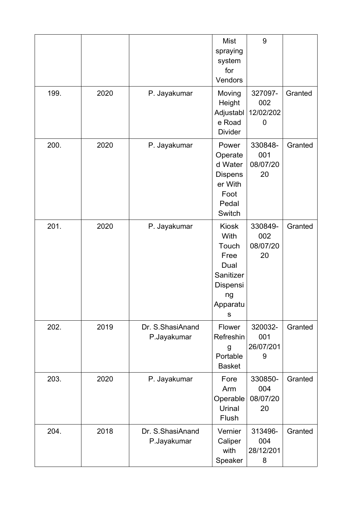|      |      |                                 | <b>Mist</b><br>spraying<br>system<br>for<br>Vendors                                           | 9                                |         |
|------|------|---------------------------------|-----------------------------------------------------------------------------------------------|----------------------------------|---------|
| 199. | 2020 | P. Jayakumar                    | Moving<br>Height<br>Adjustabl<br>e Road<br><b>Divider</b>                                     | 327097-<br>002<br>12/02/202<br>0 | Granted |
| 200. | 2020 | P. Jayakumar                    | Power<br>Operate<br>d Water<br><b>Dispens</b><br>er With<br>Foot<br>Pedal<br>Switch           | 330848-<br>001<br>08/07/20<br>20 | Granted |
| 201. | 2020 | P. Jayakumar                    | <b>Kiosk</b><br>With<br>Touch<br>Free<br>Dual<br>Sanitizer<br>Dispensi<br>ng<br>Apparatu<br>S | 330849-<br>002<br>08/07/20<br>20 | Granted |
| 202. | 2019 | Dr. S.ShasiAnand<br>P.Jayakumar | Flower<br>Refreshin<br>g<br>Portable<br><b>Basket</b>                                         | 320032-<br>001<br>26/07/201<br>9 | Granted |
| 203. | 2020 | P. Jayakumar                    | Fore<br>Arm<br>Operable<br>Urinal<br>Flush                                                    | 330850-<br>004<br>08/07/20<br>20 | Granted |
| 204. | 2018 | Dr. S.ShasiAnand<br>P.Jayakumar | Vernier<br>Caliper<br>with<br>Speaker                                                         | 313496-<br>004<br>28/12/201<br>8 | Granted |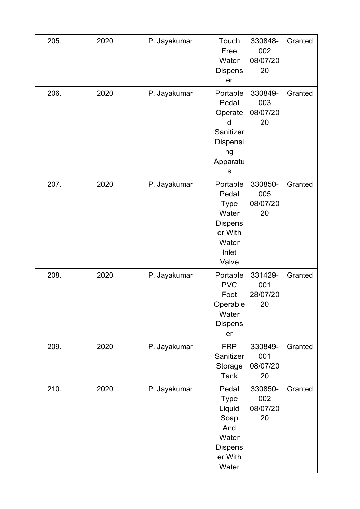| 205. | 2020 | P. Jayakumar | Touch<br>Free<br>Water<br><b>Dispens</b><br>er                                                    | 330848-<br>002<br>08/07/20<br>20 | Granted |
|------|------|--------------|---------------------------------------------------------------------------------------------------|----------------------------------|---------|
| 206. | 2020 | P. Jayakumar | Portable<br>Pedal<br>Operate<br>d<br>Sanitizer<br>Dispensi<br>ng<br>Apparatu<br>S                 | 330849-<br>003<br>08/07/20<br>20 | Granted |
| 207. | 2020 | P. Jayakumar | Portable<br>Pedal<br><b>Type</b><br>Water<br><b>Dispens</b><br>er With<br>Water<br>Inlet<br>Valve | 330850-<br>005<br>08/07/20<br>20 | Granted |
| 208. | 2020 | P. Jayakumar | Portable<br><b>PVC</b><br>Foot<br>Operable<br>Water<br><b>Dispens</b><br>er                       | 331429-<br>001<br>28/07/20<br>20 | Granted |
| 209. | 2020 | P. Jayakumar | <b>FRP</b><br>Sanitizer<br>Storage<br><b>Tank</b>                                                 | 330849-<br>001<br>08/07/20<br>20 | Granted |
| 210. | 2020 | P. Jayakumar | Pedal<br><b>Type</b><br>Liquid<br>Soap<br>And<br>Water<br><b>Dispens</b><br>er With<br>Water      | 330850-<br>002<br>08/07/20<br>20 | Granted |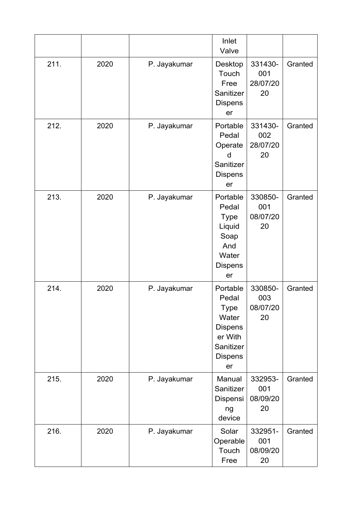|      |      |              | Inlet<br>Valve                                                                                       |                                  |         |
|------|------|--------------|------------------------------------------------------------------------------------------------------|----------------------------------|---------|
| 211. | 2020 | P. Jayakumar | Desktop<br>Touch<br>Free<br>Sanitizer<br><b>Dispens</b><br>er                                        | 331430-<br>001<br>28/07/20<br>20 | Granted |
| 212. | 2020 | P. Jayakumar | Portable<br>Pedal<br>Operate<br>d<br>Sanitizer<br><b>Dispens</b><br>er                               | 331430-<br>002<br>28/07/20<br>20 | Granted |
| 213. | 2020 | P. Jayakumar | Portable<br>Pedal<br><b>Type</b><br>Liquid<br>Soap<br>And<br>Water<br><b>Dispens</b><br>er           | 330850-<br>001<br>08/07/20<br>20 | Granted |
| 214. | 2020 | P. Jayakumar | Portable<br>Pedal<br>Type<br>Water<br><b>Dispens</b><br>er With<br>Sanitizer<br><b>Dispens</b><br>er | 330850-<br>003<br>08/07/20<br>20 | Granted |
| 215. | 2020 | P. Jayakumar | Manual<br>Sanitizer<br>Dispensi<br>ng<br>device                                                      | 332953-<br>001<br>08/09/20<br>20 | Granted |
| 216. | 2020 | P. Jayakumar | Solar<br>Operable<br>Touch<br>Free                                                                   | 332951-<br>001<br>08/09/20<br>20 | Granted |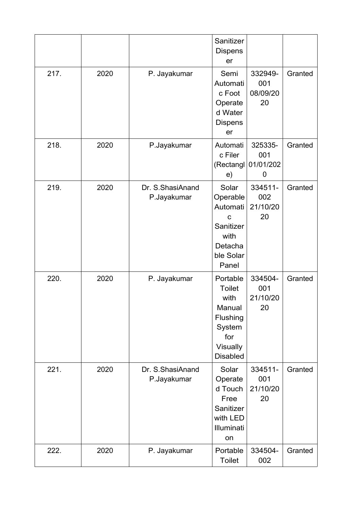|      |      |                                 | Sanitizer<br><b>Dispens</b><br>er                                                                       |                                  |         |
|------|------|---------------------------------|---------------------------------------------------------------------------------------------------------|----------------------------------|---------|
| 217. | 2020 | P. Jayakumar                    | Semi<br>Automati<br>c Foot<br>Operate<br>d Water<br><b>Dispens</b><br>er                                | 332949-<br>001<br>08/09/20<br>20 | Granted |
| 218. | 2020 | P.Jayakumar                     | Automati<br>c Filer<br>(Rectangl<br>e)                                                                  | 325335-<br>001<br>01/01/202<br>0 | Granted |
| 219. | 2020 | Dr. S.ShasiAnand<br>P.Jayakumar | Solar<br>Operable<br>Automati<br>$\mathbf C$<br>Sanitizer<br>with<br>Detacha<br>ble Solar<br>Panel      | 334511-<br>002<br>21/10/20<br>20 | Granted |
| 220. | 2020 | P. Jayakumar                    | Portable<br><b>Toilet</b><br>with<br>Manual<br>Flushing<br>System<br>for<br>Visually<br><b>Disabled</b> | 334504-<br>001<br>21/10/20<br>20 | Granted |
| 221. | 2020 | Dr. S.ShasiAnand<br>P.Jayakumar | Solar<br>Operate<br>d Touch<br>Free<br>Sanitizer<br>with LED<br>Illuminati<br>on                        | 334511-<br>001<br>21/10/20<br>20 | Granted |
| 222. | 2020 | P. Jayakumar                    | Portable<br><b>Toilet</b>                                                                               | 334504-<br>002                   | Granted |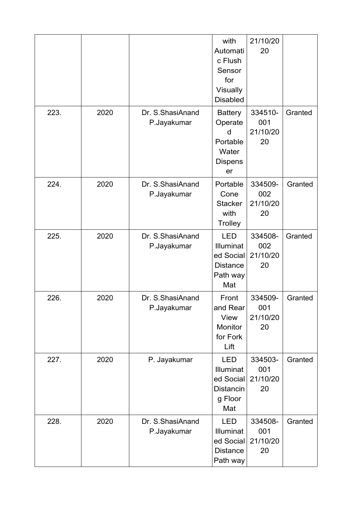|      |      |                                 | with<br>Automati<br>c Flush<br>Sensor<br>for<br>Visually<br><b>Disabled</b> | 21/10/20<br>20                   |         |
|------|------|---------------------------------|-----------------------------------------------------------------------------|----------------------------------|---------|
| 223. | 2020 | Dr. S.ShasiAnand<br>P.Jayakumar | <b>Battery</b><br>Operate<br>d<br>Portable<br>Water<br><b>Dispens</b><br>er | 334510-<br>001<br>21/10/20<br>20 | Granted |
| 224. | 2020 | Dr. S.ShasiAnand<br>P.Jayakumar | Portable<br>Cone<br><b>Stacker</b><br>with<br>Trolley                       | 334509-<br>002<br>21/10/20<br>20 | Granted |
| 225. | 2020 | Dr. S.ShasiAnand<br>P.Jayakumar | <b>LED</b><br>Illuminat<br>ed Social<br><b>Distance</b><br>Path way<br>Mat  | 334508-<br>002<br>21/10/20<br>20 | Granted |
| 226. | 2020 | Dr. S.ShasiAnand<br>P.Jayakumar | Front<br>and Rear<br>View<br>Monitor<br>for Fork<br>Lift                    | 334509-<br>001<br>21/10/20<br>20 | Granted |
| 227. | 2020 | P. Jayakumar                    | <b>LED</b><br>Illuminat<br>ed Social<br><b>Distancin</b><br>g Floor<br>Mat  | 334503-<br>001<br>21/10/20<br>20 | Granted |
| 228. | 2020 | Dr. S.ShasiAnand<br>P.Jayakumar | <b>LED</b><br>Illuminat<br>ed Social<br><b>Distance</b><br>Path way         | 334508-<br>001<br>21/10/20<br>20 | Granted |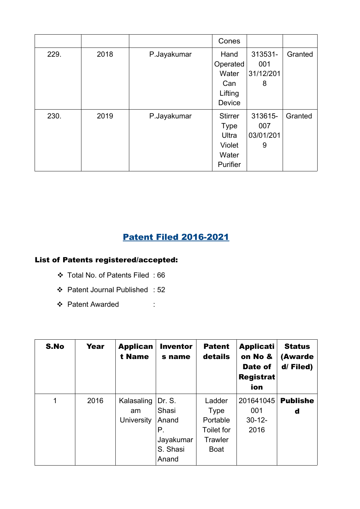|      |      |             | Cones          |           |         |
|------|------|-------------|----------------|-----------|---------|
| 229. | 2018 | P.Jayakumar | Hand           | 313531-   | Granted |
|      |      |             | Operated       | 001       |         |
|      |      |             | Water          | 31/12/201 |         |
|      |      |             | Can            | 8         |         |
|      |      |             | Lifting        |           |         |
|      |      |             | Device         |           |         |
| 230. | 2019 | P.Jayakumar | <b>Stirrer</b> | 313615-   | Granted |
|      |      |             | <b>Type</b>    | 007       |         |
|      |      |             | Ultra          | 03/01/201 |         |
|      |      |             | Violet         | 9         |         |
|      |      |             | Water          |           |         |
|      |      |             | Purifier       |           |         |

# Patent Filed 2016-2021

### List of Patents registered/accepted:

- Total No. of Patents Filed : 66
- Patent Journal Published : 52
- ❖ Patent Awarded :

| S.No | Year | <b>Applican</b><br>t Name | <b>Inventor</b><br>s name | <b>Patent</b><br>details | <b>Applicati</b><br>on No &<br>Date of<br><b>Registrat</b><br>ion | <b>Status</b><br>(Awarde<br>d/Filed) |
|------|------|---------------------------|---------------------------|--------------------------|-------------------------------------------------------------------|--------------------------------------|
| 1    | 2016 | Kalasaling                | Dr. S.                    | Ladder                   | 201641045                                                         | <b>Publishe</b>                      |
|      |      | am                        | Shasi                     | Type                     | 001                                                               | d                                    |
|      |      | University                | Anand                     | Portable                 | $30 - 12 -$                                                       |                                      |
|      |      |                           | Р.                        | <b>Toilet for</b>        | 2016                                                              |                                      |
|      |      |                           | Jayakumar                 | Trawler                  |                                                                   |                                      |
|      |      |                           | S. Shasi                  | Boat                     |                                                                   |                                      |
|      |      |                           | Anand                     |                          |                                                                   |                                      |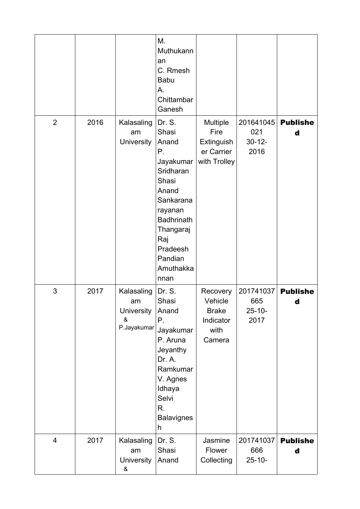|                |      |                                                    | Μ.<br>Muthukann<br>an<br>C. Rmesh<br><b>Babu</b><br>А.<br>Chittambar<br>Ganesh                                                                                                          |                                                                    |                                         |                      |
|----------------|------|----------------------------------------------------|-----------------------------------------------------------------------------------------------------------------------------------------------------------------------------------------|--------------------------------------------------------------------|-----------------------------------------|----------------------|
| $\overline{2}$ | 2016 | Kalasaling<br>am<br>University                     | Dr. S.<br>Shasi<br>Anand<br>Р.<br>Jayakumar<br>Sridharan<br>Shasi<br>Anand<br>Sankarana<br>rayanan<br><b>Badhrinath</b><br>Thangaraj<br>Raj<br>Pradeesh<br>Pandian<br>Amuthakka<br>nnan | Multiple<br>Fire<br>Extinguish<br>er Carrier<br>with Trolley       | 201641045<br>021<br>$30 - 12 -$<br>2016 | <b>Publishe</b><br>d |
| 3              | 2017 | Kalasaling<br>am<br>University<br>&<br>P.Jayakumar | Dr. S.<br>Shasi<br>Anand<br>Ρ.<br>Jayakumar<br>P. Aruna<br>Jeyanthy<br>Dr. A.<br>Ramkumar<br>V. Agnes<br>Idhaya<br>Selvi<br>R.<br><b>Balavignes</b><br>h                                | Recovery<br>Vehicle<br><b>Brake</b><br>Indicator<br>with<br>Camera | 201741037<br>665<br>$25 - 10 -$<br>2017 | <b>Publishe</b><br>d |
| $\overline{4}$ | 2017 | Kalasaling<br>am<br>University<br>&                | Dr. S.<br>Shasi<br>Anand                                                                                                                                                                | Jasmine<br>Flower<br>Collecting                                    | 201741037<br>666<br>$25 - 10 -$         | <b>Publishe</b><br>d |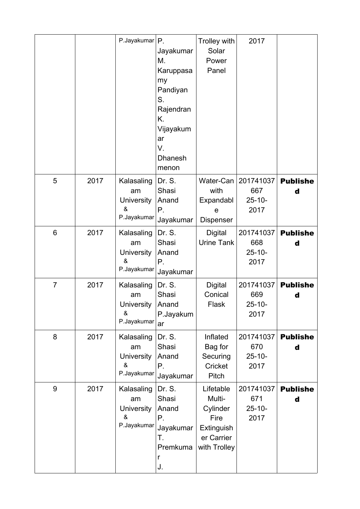|                 |      | P.Jayakumar $ P$                                           | Jayakumar<br>М.<br>Karuppasa<br>my<br>Pandiyan<br>S.<br>Rajendran<br>Κ.<br>Vijayakum<br>ar<br>V.<br><b>Dhanesh</b><br>menon | Trolley with<br>Solar<br>Power<br>Panel                                             | 2017                                    |                      |
|-----------------|------|------------------------------------------------------------|-----------------------------------------------------------------------------------------------------------------------------|-------------------------------------------------------------------------------------|-----------------------------------------|----------------------|
| 5               | 2017 | Kalasaling<br>am<br>University<br>&<br>P.Jayakumar         | Dr. S.<br>Shasi<br>Anand<br>Ρ.<br>Jayakumar                                                                                 | Water-Can<br>with<br>Expandabl<br>e<br>Dispenser                                    | 201741037<br>667<br>$25 - 10 -$<br>2017 | <b>Publishe</b><br>d |
| $6\phantom{1}6$ | 2017 | Kalasaling<br>am<br>University<br>&<br>P.Jayakumar         | Dr. S.<br>Shasi<br>Anand<br>Ρ.<br>Jayakumar                                                                                 | <b>Digital</b><br><b>Urine Tank</b>                                                 | 201741037<br>668<br>$25 - 10 -$<br>2017 | <b>Publishe</b><br>d |
| $\overline{7}$  | 2017 | Kalasaling<br>am<br>University   Anand<br>&<br>P.Jayakumar | Dr. S.<br>Shasi<br>P.Jayakum<br>ar                                                                                          | Digital<br>Conical<br>Flask                                                         | 201741037<br>669<br>$25 - 10 -$<br>2017 | <b>Publishe</b><br>d |
| 8               | 2017 | Kalasaling<br>am<br>University<br>&<br>P.Jayakumar         | Dr. S.<br>Shasi<br>Anand<br>Ρ.<br>Jayakumar                                                                                 | Inflated<br>Bag for<br>Securing<br>Cricket<br>Pitch                                 | 201741037<br>670<br>$25 - 10 -$<br>2017 | <b>Publishe</b><br>d |
| 9               | 2017 | Kalasaling<br>am<br>University<br>&<br>P.Jayakumar         | Dr. S.<br>Shasi<br>Anand<br>Ρ.<br>Jayakumar<br>Τ.<br>Premkuma<br>r<br>J.                                                    | Lifetable<br>Multi-<br>Cylinder<br>Fire<br>Extinguish<br>er Carrier<br>with Trolley | 201741037<br>671<br>$25 - 10 -$<br>2017 | <b>Publishe</b><br>d |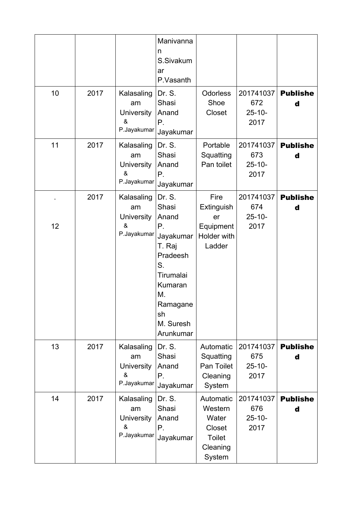|    |      |                                                           | Manivanna<br>n<br>S.Sivakum<br>ar<br>P.Vasanth                                                                                                    |                                                                                |                                         |                      |
|----|------|-----------------------------------------------------------|---------------------------------------------------------------------------------------------------------------------------------------------------|--------------------------------------------------------------------------------|-----------------------------------------|----------------------|
| 10 | 2017 | Kalasaling<br>am<br>University<br>&<br>P.Jayakumar        | Dr. S.<br>Shasi<br>Anand<br>Ρ.<br>Jayakumar                                                                                                       | <b>Odorless</b><br>Shoe<br>Closet                                              | 201741037<br>672<br>$25 - 10 -$<br>2017 | <b>Publishe</b><br>d |
| 11 | 2017 | Kalasaling<br>am<br><b>University</b><br>&<br>P.Jayakumar | Dr. S.<br>Shasi<br>Anand<br>Р.<br>Jayakumar                                                                                                       | Portable<br>Squatting<br>Pan toilet                                            | 201741037<br>673<br>$25 - 10 -$<br>2017 | <b>Publishe</b><br>d |
| 12 | 2017 | Kalasaling<br>am<br><b>University</b><br>&<br>P.Jayakumar | Dr. S.<br>Shasi<br>Anand<br>Ρ.<br>Jayakumar<br>T. Raj<br>Pradeesh<br>S.<br>Tirumalai<br>Kumaran<br>М.<br>Ramagane<br>sh<br>M. Suresh<br>Arunkumar | Fire<br>Extinguish<br>er<br>Equipment<br>Holder with<br>Ladder                 | 201741037<br>674<br>$25 - 10 -$<br>2017 | <b>Publishe</b><br>d |
| 13 | 2017 | Kalasaling<br>am<br><b>University</b><br>&<br>P.Jayakumar | Dr. S.<br>Shasi<br>Anand<br>Р.<br>Jayakumar                                                                                                       | Automatic<br>Squatting<br>Pan Toilet<br>Cleaning<br>System                     | 201741037<br>675<br>$25 - 10 -$<br>2017 | <b>Publishe</b><br>d |
| 14 | 2017 | Kalasaling<br>am<br>University<br>&<br>P.Jayakumar        | Dr. S.<br>Shasi<br>Anand<br>Ρ.<br>Jayakumar                                                                                                       | Automatic<br>Western<br>Water<br>Closet<br><b>Toilet</b><br>Cleaning<br>System | 201741037<br>676<br>$25 - 10 -$<br>2017 | <b>Publishe</b><br>d |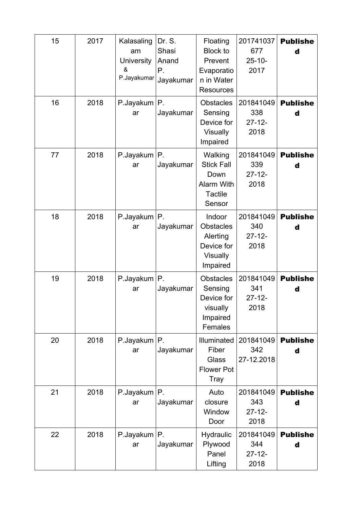| 15 | 2017 | Kalasaling<br>am<br><b>University</b><br>&<br>P.Jayakumar | Dr. S.<br>Shasi<br>Anand<br>Р.<br>Jayakumar | Floating<br><b>Block to</b><br>Prevent<br>Evaporatio<br>n in Water<br><b>Resources</b> | 201741037<br>677<br>$25 - 10 -$<br>2017 | <b>Publishe</b><br>d |
|----|------|-----------------------------------------------------------|---------------------------------------------|----------------------------------------------------------------------------------------|-----------------------------------------|----------------------|
| 16 | 2018 | P.Jayakum<br>ar                                           | Р.<br>Jayakumar                             | <b>Obstacles</b><br>Sensing<br>Device for<br>Visually<br>Impaired                      | 201841049<br>338<br>$27 - 12 -$<br>2018 | <b>Publishe</b><br>d |
| 77 | 2018 | P.Jayakum<br>ar                                           | Р.<br>Jayakumar                             | Walking<br><b>Stick Fall</b><br>Down<br>Alarm With<br><b>Tactile</b><br>Sensor         | 201841049<br>339<br>$27 - 12 -$<br>2018 | <b>Publishe</b><br>d |
| 18 | 2018 | P.Jayakum<br>ar                                           | Ρ.<br>Jayakumar                             | Indoor<br><b>Obstacles</b><br>Alerting<br>Device for<br>Visually<br>Impaired           | 201841049<br>340<br>$27 - 12 -$<br>2018 | <b>Publishe</b><br>d |
| 19 | 2018 | P.Jayakum<br>ar                                           | Р.<br>Jayakumar                             | <b>Obstacles</b><br>Sensing<br>Device for<br>visually<br>Impaired<br>Females           | 201841049<br>341<br>$27 - 12 -$<br>2018 | <b>Publishe</b><br>d |
| 20 | 2018 | P.Jayakum<br>ar                                           | Ρ.<br>Jayakumar                             | Illuminated<br>Fiber<br>Glass<br><b>Flower Pot</b><br>Tray                             | 201841049<br>342<br>27-12.2018          | <b>Publishe</b><br>d |
| 21 | 2018 | $P$ . Jayakum $ P$ .<br>ar                                | Jayakumar                                   | Auto<br>closure<br>Window<br>Door                                                      | 201841049<br>343<br>$27 - 12 -$<br>2018 | <b>Publishe</b><br>d |
| 22 | 2018 | P.Jayakum<br>ar                                           | Ρ.<br>Jayakumar                             | Hydraulic<br>Plywood<br>Panel<br>Lifting                                               | 201841049<br>344<br>$27 - 12 -$<br>2018 | <b>Publishe</b><br>d |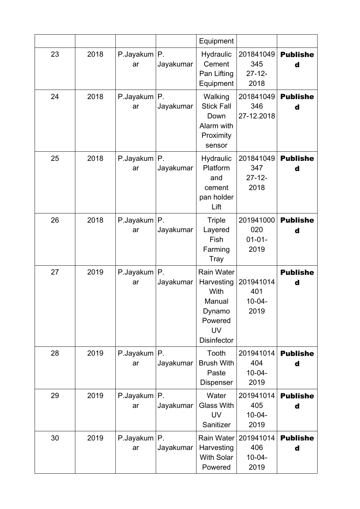|    |      |                     |                 | Equipment                                                                                          |                                         |                      |
|----|------|---------------------|-----------------|----------------------------------------------------------------------------------------------------|-----------------------------------------|----------------------|
| 23 | 2018 | P.Jayakum  P.<br>ar | Jayakumar       | Hydraulic<br>Cement<br>Pan Lifting<br>Equipment                                                    | 201841049<br>345<br>$27 - 12 -$<br>2018 | <b>Publishe</b><br>d |
| 24 | 2018 | P.Jayakum<br>ar     | Р.<br>Jayakumar | Walking<br><b>Stick Fall</b><br>Down<br>Alarm with<br>Proximity<br>sensor                          | 201841049<br>346<br>27-12.2018          | <b>Publishe</b><br>d |
| 25 | 2018 | P.Jayakum<br>ar     | Ρ.<br>Jayakumar | <b>Hydraulic</b><br>Platform<br>and<br>cement<br>pan holder<br>Lift                                | 201841049<br>347<br>$27 - 12 -$<br>2018 | <b>Publishe</b><br>d |
| 26 | 2018 | P.Jayakum<br>ar     | Р.<br>Jayakumar | <b>Triple</b><br>Layered<br>Fish<br>Farming<br>Tray                                                | 201941000<br>020<br>$01 - 01 -$<br>2019 | <b>Publishe</b><br>d |
| 27 | 2019 | P.Jayakum<br>ar     | Ρ.<br>Jayakumar | Rain Water<br>Harvesting<br>With<br>Manual<br>Dynamo<br>Powered<br><b>UV</b><br><b>Disinfector</b> | 201941014<br>401<br>$10 - 04 -$<br>2019 | <b>Publishe</b><br>d |
| 28 | 2019 | P.Jayakum<br>ar     | Ρ.<br>Jayakumar | Tooth<br><b>Brush With</b><br>Paste<br><b>Dispenser</b>                                            | 201941014<br>404<br>$10 - 04 -$<br>2019 | <b>Publishe</b><br>d |
| 29 | 2019 | P.Jayakum<br>ar     | Ρ.<br>Jayakumar | Water<br><b>Glass With</b><br><b>UV</b><br>Sanitizer                                               | 201941014<br>405<br>$10 - 04 -$<br>2019 | <b>Publishe</b><br>d |
| 30 | 2019 | P.Jayakum<br>ar     | Ρ.<br>Jayakumar | <b>Rain Water</b><br>Harvesting<br><b>With Solar</b><br>Powered                                    | 201941014<br>406<br>$10 - 04 -$<br>2019 | <b>Publishe</b><br>d |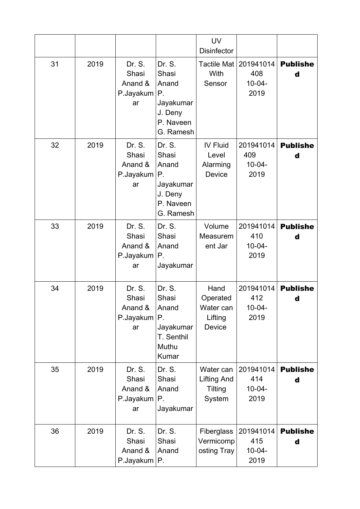|    |      |                                               |                                                                                           | <b>UV</b><br><b>Disinfector</b>                      |                                         |                      |
|----|------|-----------------------------------------------|-------------------------------------------------------------------------------------------|------------------------------------------------------|-----------------------------------------|----------------------|
| 31 | 2019 | Dr. S.<br>Shasi<br>Anand &<br>P.Jayakum<br>ar | Dr. S.<br>Shasi<br>Anand<br>$P_{\cdot}$<br>Jayakumar<br>J. Deny<br>P. Naveen<br>G. Ramesh | Tactile Mat  <br>With<br>Sensor                      | 201941014<br>408<br>$10 - 04 -$<br>2019 | <b>Publishe</b><br>d |
| 32 | 2019 | Dr. S.<br>Shasi<br>Anand &<br>P.Jayakum<br>ar | Dr. S.<br>Shasi<br>Anand<br>Р.<br>Jayakumar<br>J. Deny<br>P. Naveen<br>G. Ramesh          | IV Fluid<br>Level<br>Alarming<br>Device              | 201941014<br>409<br>$10 - 04 -$<br>2019 | <b>Publishe</b><br>d |
| 33 | 2019 | Dr. S.<br>Shasi<br>Anand &<br>P.Jayakum<br>ar | Dr. S.<br>Shasi<br>Anand<br>Р.<br>Jayakumar                                               | Volume<br>Measurem<br>ent Jar                        | 201941014<br>410<br>$10 - 04 -$<br>2019 | <b>Publishe</b><br>d |
| 34 | 2019 | Dr. S.<br>Shasi<br>Anand &<br>P.Jayakum<br>ar | Dr. S.<br>Shasi<br>Anand<br>Р.<br>Jayakumar<br>T. Senthil<br>Muthu<br>Kumar               | Hand<br>Operated<br>Water can<br>Lifting<br>Device   | 201941014<br>412<br>10-04-<br>2019      | <b>Publishe</b><br>d |
| 35 | 2019 | Dr. S.<br>Shasi<br>Anand &<br>P.Jayakum<br>ar | Dr. S.<br>Shasi<br>Anand<br>Р.<br>Jayakumar                                               | Water can<br><b>Lifting And</b><br>Tilting<br>System | 201941014<br>414<br>$10 - 04 -$<br>2019 | <b>Publishe</b><br>d |
| 36 | 2019 | Dr. S.<br>Shasi<br>Anand &<br>P.Jayakum   P.  | Dr. S.<br>Shasi<br>Anand                                                                  | Fiberglass<br>Vermicomp<br>osting Tray               | 201941014<br>415<br>$10 - 04 -$<br>2019 | <b>Publishe</b><br>d |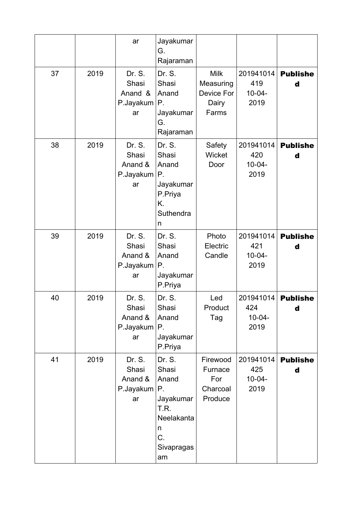|    |      | ar                                            | Jayakumar<br>G.<br>Rajaraman                                                                     |                                                   |                                         |                      |
|----|------|-----------------------------------------------|--------------------------------------------------------------------------------------------------|---------------------------------------------------|-----------------------------------------|----------------------|
| 37 | 2019 | Dr. S.<br>Shasi<br>Anand &<br>P.Jayakum<br>ar | Dr. S.<br>Shasi<br>Anand<br>Р.<br>Jayakumar<br>G.<br>Rajaraman                                   | Milk<br>Measuring<br>Device For<br>Dairy<br>Farms | 201941014<br>419<br>$10 - 04 -$<br>2019 | <b>Publishe</b><br>d |
| 38 | 2019 | Dr. S.<br>Shasi<br>Anand &<br>P.Jayakum<br>ar | Dr. S.<br>Shasi<br>Anand<br>Ρ.<br>Jayakumar<br>P.Priya<br>Κ.<br>Suthendra<br>n                   | Safety<br>Wicket<br>Door                          | 201941014<br>420<br>$10-04-$<br>2019    | <b>Publishe</b><br>d |
| 39 | 2019 | Dr. S.<br>Shasi<br>Anand &<br>P.Jayakum<br>ar | Dr. S.<br>Shasi<br>Anand<br>Ρ.<br>Jayakumar<br>P.Priya                                           | Photo<br>Electric<br>Candle                       | 201941014<br>421<br>$10 - 04 -$<br>2019 | <b>Publishe</b><br>d |
| 40 | 2019 | Dr. S.<br>Shasi<br>Anand &<br>P.Jayakum<br>ar | Dr. S.<br>Shasi<br>Anand<br>Р.<br>Jayakumar<br>P.Priya                                           | Led<br>Product<br>Tag                             | 201941014<br>424<br>$10 - 04 -$<br>2019 | <b>Publishe</b><br>d |
| 41 | 2019 | Dr. S.<br>Shasi<br>Anand &<br>P.Jayakum<br>ar | Dr. S.<br>Shasi<br>Anand<br>Р.<br>Jayakumar<br>T.R.<br>Neelakanta<br>n<br>C.<br>Sivapragas<br>am | Firewood<br>Furnace<br>For<br>Charcoal<br>Produce | 201941014<br>425<br>$10 - 04 -$<br>2019 | <b>Publishe</b><br>d |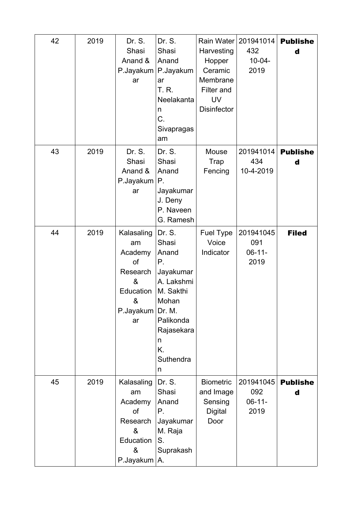| 42 | 2019 | Dr. S.<br>Shasi<br>Anand &<br>P.Jayakum<br>ar                                            | Dr. S.<br>Shasi<br>Anand<br>P.Jayakum<br>ar<br>T. R.<br>Neelakanta<br>n<br>C.<br>Sivapragas<br>am                                                 | Rain Water<br>Harvesting<br>Hopper<br>Ceramic<br>Membrane<br>Filter and<br><b>UV</b><br><b>Disinfector</b> | 201941014<br>432<br>$10 - 04 -$<br>2019 | <b>Publishe</b><br>d |
|----|------|------------------------------------------------------------------------------------------|---------------------------------------------------------------------------------------------------------------------------------------------------|------------------------------------------------------------------------------------------------------------|-----------------------------------------|----------------------|
| 43 | 2019 | Dr. S.<br>Shasi<br>Anand &<br>P.Jayakum<br>ar                                            | Dr. S.<br>Shasi<br>Anand<br>Р.<br>Jayakumar<br>J. Deny<br>P. Naveen<br>G. Ramesh                                                                  | Mouse<br>Trap<br>Fencing                                                                                   | 201941014<br>434<br>10-4-2019           | <b>Publishe</b><br>d |
| 44 | 2019 | Kalasaling<br>am<br>Academy<br>of<br>Research<br>&<br>Education<br>&<br>P.Jayakum<br>ar  | Dr. S.<br>Shasi<br>Anand<br>Р.<br>Jayakumar<br>A. Lakshmi<br>M. Sakthi<br>Mohan<br>Dr. M.<br>Palikonda<br>Rajasekara<br>n<br>K.<br>Suthendra<br>n | Fuel Type<br>Voice<br>Indicator                                                                            | 201941045<br>091<br>$06 - 11 -$<br>2019 | <b>Filed</b>         |
| 45 | 2019 | Kalasaling<br>am<br>Academy<br><b>of</b><br>Research<br>&<br>Education<br>&<br>P.Jayakum | Dr. S.<br>Shasi<br>Anand<br>Р.<br>Jayakumar<br>M. Raja<br>S.<br>Suprakash<br>Α.                                                                   | <b>Biometric</b><br>and Image<br>Sensing<br><b>Digital</b><br>Door                                         | 201941045<br>092<br>$06 - 11 -$<br>2019 | <b>Publishe</b><br>d |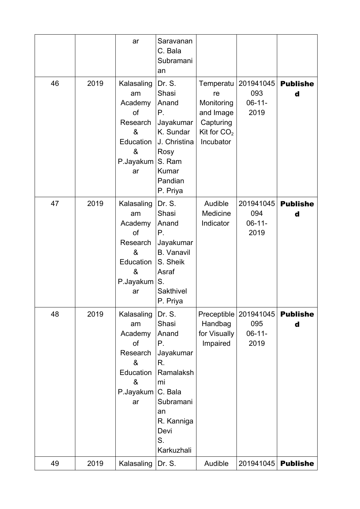|    |      | ar                                                                                      | Saravanan<br>C. Bala<br>Subramani<br>an                                                                                                      |                                                                                       |                                         |                      |
|----|------|-----------------------------------------------------------------------------------------|----------------------------------------------------------------------------------------------------------------------------------------------|---------------------------------------------------------------------------------------|-----------------------------------------|----------------------|
| 46 | 2019 | Kalasaling<br>am<br>Academy<br>of<br>Research<br>&<br>Education<br>&<br>P.Jayakum<br>ar | Dr. S.<br>Shasi<br>Anand<br>Ρ.<br>Jayakumar<br>K. Sundar<br>J. Christina<br>Rosy<br>S. Ram<br>Kumar<br>Pandian<br>P. Priya                   | Temperatu<br>re<br>Monitoring<br>and Image<br>Capturing<br>Kit for $CO2$<br>Incubator | 201941045<br>093<br>$06 - 11 -$<br>2019 | <b>Publishe</b><br>d |
| 47 | 2019 | Kalasaling<br>am<br>Academy<br>of<br>Research<br>&<br>Education<br>&<br>P.Jayakum<br>ar | Dr. S.<br>Shasi<br>Anand<br>Р.<br>Jayakumar<br><b>B.</b> Vanavil<br>S. Sheik<br>Asraf<br>S.<br>Sakthivel<br>P. Priya                         | Audible<br>Medicine<br>Indicator                                                      | 201941045<br>094<br>$06 - 11 -$<br>2019 | <b>Publishe</b><br>d |
| 48 | 2019 | Kalasaling<br>am<br>Academy<br>of<br>Research<br>&<br>Education<br>&<br>P.Jayakum<br>ar | Dr. S.<br>Shasi<br>Anand<br>Ρ.<br>Jayakumar<br>R.<br>Ramalaksh<br>mi<br>C. Bala<br>Subramani<br>an<br>R. Kanniga<br>Devi<br>S.<br>Karkuzhali | Preceptible<br>Handbag<br>for Visually<br>Impaired                                    | 201941045<br>095<br>$06 - 11 -$<br>2019 | <b>Publishe</b><br>d |
| 49 | 2019 | Kalasaling                                                                              | Dr. S.                                                                                                                                       | Audible                                                                               | 201941045                               | <b>Publishe</b>      |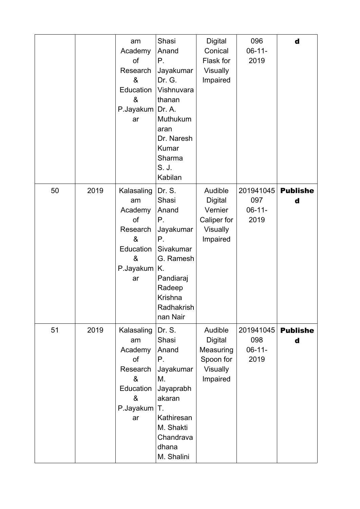|    |      | am<br>Academy<br>of<br>Research<br>&<br>Education<br>&<br>P.Jayakum<br>ar               | Shasi<br>Anand<br>Р.<br>Jayakumar<br>Dr. G.<br>Vishnuvara<br>thanan<br>Dr. A.<br>Muthukum<br>aran<br>Dr. Naresh<br>Kumar<br>Sharma<br>S. J.<br>Kabilan | <b>Digital</b><br>Conical<br>Flask for<br><b>Visually</b><br>Impaired       | 096<br>$06-11-$<br>2019                 | d                    |
|----|------|-----------------------------------------------------------------------------------------|--------------------------------------------------------------------------------------------------------------------------------------------------------|-----------------------------------------------------------------------------|-----------------------------------------|----------------------|
| 50 | 2019 | Kalasaling<br>am<br>Academy<br>of<br>Research<br>&<br>Education<br>&<br>P.Jayakum<br>ar | Dr. S.<br>Shasi<br>Anand<br>Ρ.<br>Jayakumar<br>Ρ.<br>Sivakumar<br>G. Ramesh<br>Κ.<br>Pandiaraj<br>Radeep<br>Krishna<br>Radhakrish<br>nan Nair          | Audible<br><b>Digital</b><br>Vernier<br>Caliper for<br>Visually<br>Impaired | 201941045<br>097<br>$06 - 11 -$<br>2019 | <b>Publishe</b><br>d |
| 51 | 2019 | Kalasaling<br>am<br>Academy<br>of<br>Research<br>&<br>Education<br>&<br>P.Jayakum<br>ar | Dr. S.<br>Shasi<br>Anand<br>Р.<br>Jayakumar<br>Μ.<br>Jayaprabh<br>akaran<br>Τ.<br>Kathiresan<br>M. Shakti<br>Chandrava<br>dhana<br>M. Shalini          | Audible<br><b>Digital</b><br>Measuring<br>Spoon for<br>Visually<br>Impaired | 201941045<br>098<br>$06 - 11 -$<br>2019 | <b>Publishe</b><br>d |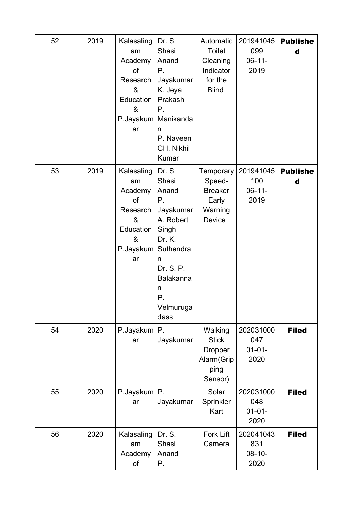| 52 | 2019 | Kalasaling<br>am<br>Academy<br>of<br>Research<br>&<br>Education<br>&<br>P.Jayakum<br>ar | Dr. S.<br>Shasi<br>Anand<br>Ρ.<br>Jayakumar<br>K. Jeya<br>Prakash<br>Р.<br>Manikanda<br>n<br>P. Naveen<br>CH. Nikhil<br>Kumar                                  | Automatic<br><b>Toilet</b><br>Cleaning<br>Indicator<br>for the<br><b>Blind</b> | 201941045<br>099<br>$06-11-$<br>2019    | <b>Publishe</b><br>d |
|----|------|-----------------------------------------------------------------------------------------|----------------------------------------------------------------------------------------------------------------------------------------------------------------|--------------------------------------------------------------------------------|-----------------------------------------|----------------------|
| 53 | 2019 | Kalasaling<br>am<br>Academy<br>of<br>Research<br>&<br>Education<br>&<br>P.Jayakum<br>ar | Dr. S.<br>Shasi<br>Anand<br>Ρ.<br>Jayakumar<br>A. Robert<br>Singh<br>Dr. K.<br>Suthendra<br>n<br>Dr. S. P.<br><b>Balakanna</b><br>n<br>Ρ.<br>Velmuruga<br>dass | Temporary<br>Speed-<br><b>Breaker</b><br>Early<br>Warning<br>Device            | 201941045<br>100<br>$06 - 11 -$<br>2019 | <b>Publishe</b><br>d |
| 54 | 2020 | P.Jayakum<br>ar                                                                         | P.<br>Jayakumar                                                                                                                                                | Walking<br><b>Stick</b><br><b>Dropper</b><br>Alarm(Grip<br>ping<br>Sensor)     | 202031000<br>047<br>$01 - 01 -$<br>2020 | <b>Filed</b>         |
| 55 | 2020 | $P$ . Jayakum $ P$ .<br>ar                                                              | Jayakumar                                                                                                                                                      | Solar<br>Sprinkler<br>Kart                                                     | 202031000<br>048<br>$01 - 01 -$<br>2020 | <b>Filed</b>         |
| 56 | 2020 | Kalasaling<br>am<br>Academy<br>of                                                       | Dr. S.<br>Shasi<br>Anand<br>Р.                                                                                                                                 | <b>Fork Lift</b><br>Camera                                                     | 202041043<br>831<br>$08 - 10 -$<br>2020 | <b>Filed</b>         |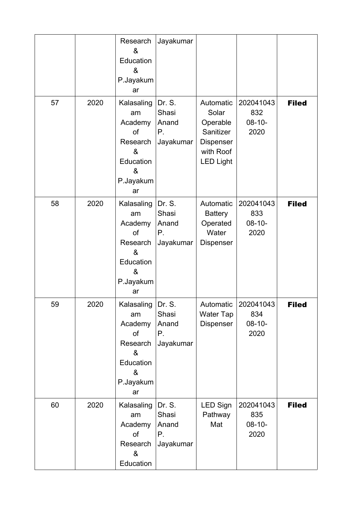|    |      | Research<br>&<br>Education<br>&<br>P.Jayakum<br>ar                                      | Jayakumar                                   |                                                                                           |                                         |              |
|----|------|-----------------------------------------------------------------------------------------|---------------------------------------------|-------------------------------------------------------------------------------------------|-----------------------------------------|--------------|
| 57 | 2020 | Kalasaling<br>am<br>Academy<br>of<br>Research<br>&<br>Education<br>&<br>P.Jayakum<br>ar | Dr. S.<br>Shasi<br>Anand<br>Р.<br>Jayakumar | Automatic<br>Solar<br>Operable<br>Sanitizer<br>Dispenser<br>with Roof<br><b>LED Light</b> | 202041043<br>832<br>$08 - 10 -$<br>2020 | <b>Filed</b> |
| 58 | 2020 | Kalasaling<br>am<br>Academy<br>of<br>Research<br>&<br>Education<br>&<br>P.Jayakum<br>ar | Dr. S.<br>Shasi<br>Anand<br>Р.<br>Jayakumar | Automatic<br><b>Battery</b><br>Operated<br>Water<br>Dispenser                             | 202041043<br>833<br>$08 - 10 -$<br>2020 | <b>Filed</b> |
| 59 | 2020 | Kalasaling<br>am<br>Academy<br>of<br>Research<br>&<br>Education<br>&<br>P.Jayakum<br>ar | Dr. S.<br>Shasi<br>Anand<br>Р.<br>Jayakumar | Automatic<br><b>Water Tap</b><br>Dispenser                                                | 202041043<br>834<br>$08 - 10 -$<br>2020 | <b>Filed</b> |
| 60 | 2020 | Kalasaling<br>am<br>Academy<br>of<br>Research<br>&<br>Education                         | Dr. S.<br>Shasi<br>Anand<br>Р.<br>Jayakumar | <b>LED Sign</b><br>Pathway<br>Mat                                                         | 202041043<br>835<br>$08 - 10 -$<br>2020 | <b>Filed</b> |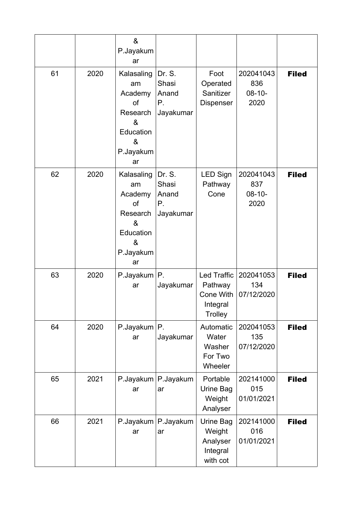|    |      | $\boldsymbol{\alpha}$<br>P.Jayakum<br>ar                                                |                                             |                                                            |                                         |              |
|----|------|-----------------------------------------------------------------------------------------|---------------------------------------------|------------------------------------------------------------|-----------------------------------------|--------------|
| 61 | 2020 | Kalasaling<br>am<br>Academy<br>of<br>Research<br>&<br>Education<br>&<br>P.Jayakum<br>ar | Dr. S.<br>Shasi<br>Anand<br>Р.<br>Jayakumar | Foot<br>Operated<br>Sanitizer<br><b>Dispenser</b>          | 202041043<br>836<br>$08 - 10 -$<br>2020 | <b>Filed</b> |
| 62 | 2020 | Kalasaling<br>am<br>Academy<br>of<br>Research<br>&<br>Education<br>&<br>P.Jayakum<br>ar | Dr. S.<br>Shasi<br>Anand<br>Р.<br>Jayakumar | LED Sign<br>Pathway<br>Cone                                | 202041043<br>837<br>$08 - 10 -$<br>2020 | <b>Filed</b> |
| 63 | 2020 | P.Jayakum   P.<br>ar                                                                    | Jayakumar                                   | Led Traffic<br>Pathway<br>Cone With<br>Integral<br>Trolley | 202041053<br>134<br>07/12/2020          | <b>Filed</b> |
| 64 | 2020 | P.Jayakum<br>ar                                                                         | $P_{\cdot}$<br>Jayakumar                    | Automatic<br>Water<br>Washer<br>For Two<br>Wheeler         | 202041053<br>135<br>07/12/2020          | <b>Filed</b> |
| 65 | 2021 | ar                                                                                      | P.Jayakum   P.Jayakum<br>ar                 | Portable<br>Urine Bag<br>Weight<br>Analyser                | 202141000<br>015<br>01/01/2021          | <b>Filed</b> |
| 66 | 2021 | P.Jayakum<br>ar                                                                         | P.Jayakum<br>ar                             | Urine Bag<br>Weight<br>Analyser<br>Integral<br>with cot    | 202141000<br>016<br>01/01/2021          | <b>Filed</b> |